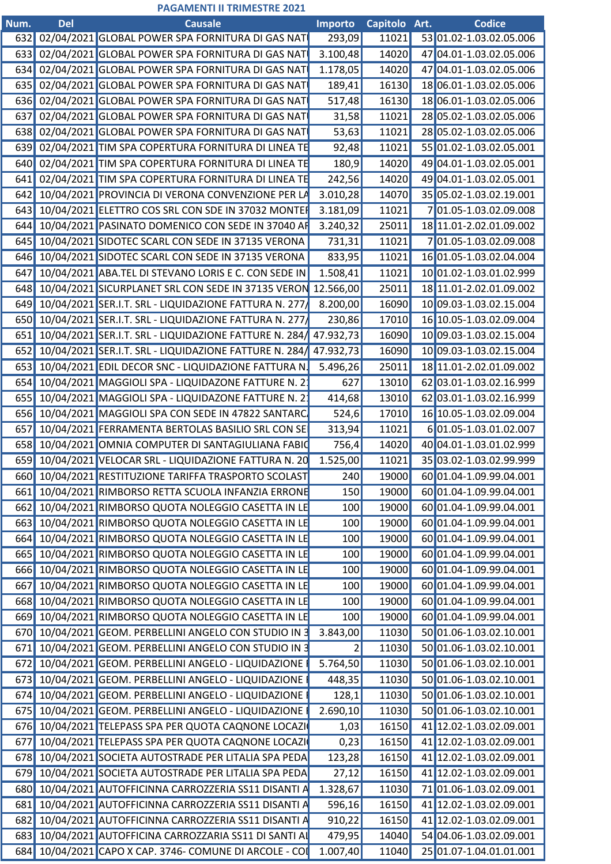## **PAGAMENTI II TRIMESTRE 2021**

| Num. | Del | <b>Causale</b>                                                       | <b>Importo</b> | Capitolo Art. | <b>Codice</b>                 |
|------|-----|----------------------------------------------------------------------|----------------|---------------|-------------------------------|
|      |     | 632 02/04/2021 GLOBAL POWER SPA FORNITURA DI GAS NAT                 | 293,09         | 11021         | 53 01.02-1.03.02.05.006       |
|      |     | 633 02/04/2021 GLOBAL POWER SPA FORNITURA DI GAS NAT                 | 3.100,48       | 14020         | 47 04.01-1.03.02.05.006       |
|      |     | 634 02/04/2021 GLOBAL POWER SPA FORNITURA DI GAS NAT                 | 1.178,05       | 14020         | 47 04.01-1.03.02.05.006       |
|      |     | 635 02/04/2021 GLOBAL POWER SPA FORNITURA DI GAS NAT                 | 189,41         | 16130         | 18 06.01-1.03.02.05.006       |
|      |     | 636 02/04/2021 GLOBAL POWER SPA FORNITURA DI GAS NAT                 | 517,48         | 16130         | 18 06.01-1.03.02.05.006       |
|      |     | 637 02/04/2021 GLOBAL POWER SPA FORNITURA DI GAS NAT                 | 31,58          | 11021         | 28 05.02-1.03.02.05.006       |
|      |     | 638 02/04/2021 GLOBAL POWER SPA FORNITURA DI GAS NAT                 | 53,63          | 11021         | 28 05.02-1.03.02.05.006       |
|      |     | 639 02/04/2021 TIM SPA COPERTURA FORNITURA DI LINEA TE               | 92,48          | 11021         | 55 01.02-1.03.02.05.001       |
|      |     | 640 02/04/2021 TIM SPA COPERTURA FORNITURA DI LINEA TI               | 180,9          | 14020         | 49 04.01-1.03.02.05.001       |
|      |     | 641 02/04/2021 TIM SPA COPERTURA FORNITURA DI LINEA TE               | 242,56         | 14020         | 49 04.01-1.03.02.05.001       |
|      |     | 642 10/04/2021 PROVINCIA DI VERONA CONVENZIONE PER L                 | 3.010,28       | 14070         | 35 05.02-1.03.02.19.001       |
|      |     | 643 10/04/2021 ELETTRO COS SRL CON SDE IN 37032 MONTE                | 3.181,09       | 11021         | 701.05-1.03.02.09.008         |
|      |     | 644 10/04/2021 PASINATO DOMENICO CON SEDE IN 37040 AP                | 3.240,32       | 25011         | 18 11.01-2.02.01.09.002       |
|      |     | 645 10/04/2021 SIDOTEC SCARL CON SEDE IN 37135 VERONA                | 731,31         | 11021         | 701.05-1.03.02.09.008         |
|      |     | 646 10/04/2021 SIDOTEC SCARL CON SEDE IN 37135 VERONA                | 833,95         | 11021         | 16 01.05-1.03.02.04.004       |
|      |     | 647 10/04/2021 ABA.TEL DI STEVANO LORIS E C. CON SEDE IN             | 1.508,41       | 11021         | 10 01.02-1.03.01.02.999       |
|      |     | 648 10/04/2021 SICURPLANET SRL CON SEDE IN 37135 VERON 12.566,00     |                | 25011         | 18 11.01-2.02.01.09.002       |
|      |     | 649 10/04/2021 SER.I.T. SRL - LIQUIDAZIONE FATTURA N. 277            | 8.200,00       | 16090         | 10 09.03-1.03.02.15.004       |
|      |     | 650 10/04/2021 SER.I.T. SRL - LIQUIDAZIONE FATTURA N. 277            | 230,86         | 17010         | 16 10.05-1.03.02.09.004       |
|      |     | 651 10/04/2021 SER.I.T. SRL - LIQUIDAZIONE FATTURE N. 284/ 47.932,73 |                | 16090         | 10 09.03-1.03.02.15.004       |
|      |     | 652 10/04/2021 SER.I.T. SRL - LIQUIDAZIONE FATTURE N. 284/ 47.932,73 |                | 16090         | 10 09.03-1.03.02.15.004       |
|      |     | 653 10/04/2021 EDIL DECOR SNC - LIQUIDAZIONE FATTURA N.              | 5.496,26       | 25011         | 18 11.01-2.02.01.09.002       |
|      |     | 654 10/04/2021 MAGGIOLI SPA - LIQUIDAZONE FATTURE N. 2               | 627            | 13010         | 62 03.01-1.03.02.16.999       |
|      |     | 655 10/04/2021 MAGGIOLI SPA - LIQUIDAZONE FATTURE N. 2               | 414,68         | 13010         | 62 03.01-1.03.02.16.999       |
|      |     | 656 10/04/2021 MAGGIOLI SPA CON SEDE IN 47822 SANTARC                | 524,6          | 17010         | 16 10.05-1.03.02.09.004       |
|      |     | 657 10/04/2021 FERRAMENTA BERTOLAS BASILIO SRL CON SE                | 313,94         | 11021         | 6 01.05-1.03.01.02.007        |
|      |     |                                                                      |                |               |                               |
|      |     | 658 10/04/2021 OMNIA COMPUTER DI SANTAGIULIANA FABIO                 | 756,4          | 14020         | 40 04.01-1.03.01.02.999       |
|      |     | 659 10/04/2021 VELOCAR SRL - LIQUIDAZIONE FATTURA N. 20              | 1.525,00       | 11021         | 35 03.02-1.03.02.99.999       |
|      |     | 660 10/04/2021 RESTITUZIONE TARIFFA TRASPORTO SCOLAST                | 240            |               | 19000 60 01.04-1.09.99.04.001 |
|      |     | 661 10/04/2021 RIMBORSO RETTA SCUOLA INFANZIA ERRONE                 | 150            | 19000         | 60 01.04-1.09.99.04.001       |
|      |     | 662 10/04/2021 RIMBORSO QUOTA NOLEGGIO CASETTA IN LE                 | 100            | 19000         | 60 01.04-1.09.99.04.001       |
|      |     | 663 10/04/2021 RIMBORSO QUOTA NOLEGGIO CASETTA IN LE                 | 100            | 19000         | 60 01.04-1.09.99.04.001       |
|      |     | 664 10/04/2021 RIMBORSO QUOTA NOLEGGIO CASETTA IN LE                 | 100            | 19000         | 60 01.04-1.09.99.04.001       |
|      |     | 665 10/04/2021 RIMBORSO QUOTA NOLEGGIO CASETTA IN LE                 | 100            | 19000         | 60 01.04-1.09.99.04.001       |
|      |     | 666 10/04/2021 RIMBORSO QUOTA NOLEGGIO CASETTA IN LE                 | 100            | 19000         | 60 01.04-1.09.99.04.001       |
|      |     | 667 10/04/2021 RIMBORSO QUOTA NOLEGGIO CASETTA IN LE                 | 100            | 19000         | 60 01.04-1.09.99.04.001       |
|      |     | 668 10/04/2021 RIMBORSO QUOTA NOLEGGIO CASETTA IN LE                 | 100            | 19000         | 60 01.04-1.09.99.04.001       |
|      |     | 669 10/04/2021 RIMBORSO QUOTA NOLEGGIO CASETTA IN LE                 | 100            | 19000         | 60 01.04-1.09.99.04.001       |
|      |     | 670 10/04/2021 GEOM. PERBELLINI ANGELO CON STUDIO IN 3 3.843,00      |                |               | 11030 50 01.06-1.03.02.10.001 |
|      |     | 671 10/04/2021 GEOM. PERBELLINI ANGELO CON STUDIO IN 3               |                |               | 11030 50 01.06-1.03.02.10.001 |
|      |     | 672 10/04/2021 GEOM. PERBELLINI ANGELO - LIQUIDAZIONE I              | 5.764,50       |               | 11030 50 01.06-1.03.02.10.001 |
|      |     | 673 10/04/2021 GEOM. PERBELLINI ANGELO - LIQUIDAZIONE I              | 448,35         |               | 11030 50 01.06-1.03.02.10.001 |
|      |     | 674 10/04/2021 GEOM. PERBELLINI ANGELO - LIQUIDAZIONE                | 128,1          |               | 11030 50 01.06-1.03.02.10.001 |
|      |     | 675 10/04/2021 GEOM. PERBELLINI ANGELO - LIQUIDAZIONE I              | 2.690,10       |               | 11030 50 01.06-1.03.02.10.001 |
|      |     | 676 10/04/2021 TELEPASS SPA PER QUOTA CAQNONE LOCAZI                 | 1,03           | 16150         | 41 12.02-1.03.02.09.001       |
|      |     | 677 10/04/2021 TELEPASS SPA PER QUOTA CAQNONE LOCAZI                 | 0,23           | 16150         | 41 12.02-1.03.02.09.001       |
|      |     | 678 10/04/2021 SOCIETA AUTOSTRADE PER LITALIA SPA PEDA               | 123,28         | 16150         | 41 12.02-1.03.02.09.001       |
|      |     | 679 10/04/2021 SOCIETA AUTOSTRADE PER LITALIA SPA PEDA               | 27,12          | 16150         | 41 12.02-1.03.02.09.001       |
|      |     | 680 10/04/2021 AUTOFFICINNA CARROZZERIA SS11 DISANTI A               | 1.328,67       | 11030         | 71 01.06-1.03.02.09.001       |
|      |     | 681 10/04/2021 AUTOFFICINNA CARROZZERIA SS11 DISANTI A               | 596,16         | 16150         | 41 12.02-1.03.02.09.001       |
|      |     | 682 10/04/2021 AUTOFFICINNA CARROZZERIA SS11 DISANTI A               | 910,22         | 16150         | 41 12.02-1.03.02.09.001       |
|      |     | 683 10/04/2021 AUTOFFICINA CARROZZARIA SS11 DI SANTI AL              | 479,95         | 14040         | 54 04.06-1.03.02.09.001       |
|      |     | 684 10/04/2021 CAPO X CAP. 3746- COMUNE DI ARCOLE - COI 1.007,40     |                | 11040         | 25 01.07-1.04.01.01.001       |
|      |     |                                                                      |                |               |                               |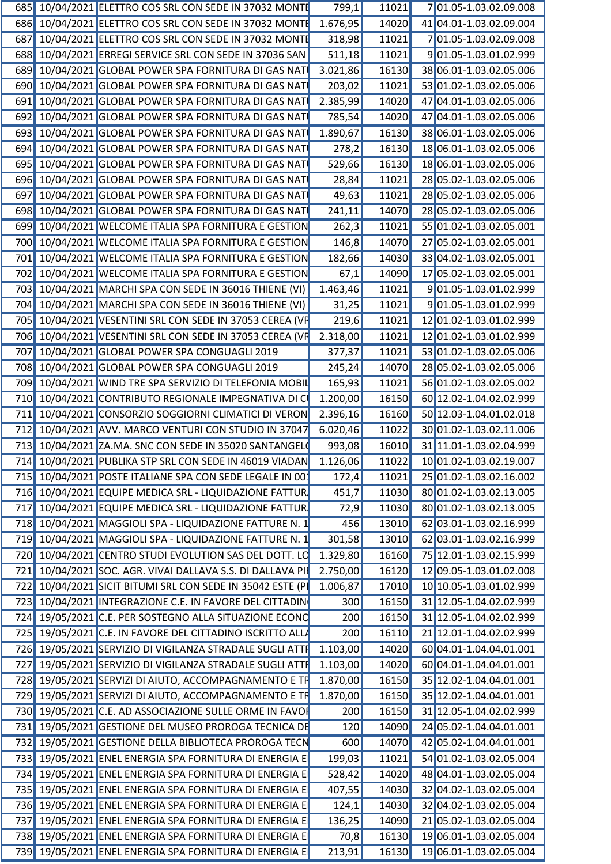|  | 685 10/04/2021 ELETTRO COS SRL CON SEDE IN 37032 MONT            | 799,1    | 11021 | 701.05-1.03.02.09.008         |
|--|------------------------------------------------------------------|----------|-------|-------------------------------|
|  | 686 10/04/2021 ELETTRO COS SRL CON SEDE IN 37032 MONT            | 1.676,95 | 14020 | 41 04.01-1.03.02.09.004       |
|  | 687 10/04/2021 ELETTRO COS SRL CON SEDE IN 37032 MONT            | 318,98   | 11021 | 701.05-1.03.02.09.008         |
|  | 688 10/04/2021 ERREGI SERVICE SRL CON SEDE IN 37036 SAN          | 511,18   | 11021 | 9 01.05-1.03.01.02.999        |
|  | 689 10/04/2021 GLOBAL POWER SPA FORNITURA DI GAS NAT             | 3.021,86 | 16130 | 38 06.01-1.03.02.05.006       |
|  | 690 10/04/2021 GLOBAL POWER SPA FORNITURA DI GAS NAT             | 203,02   | 11021 | 53 01.02-1.03.02.05.006       |
|  | 691 10/04/2021 GLOBAL POWER SPA FORNITURA DI GAS NAT             | 2.385,99 | 14020 | 47 04.01-1.03.02.05.006       |
|  | 692 10/04/2021 GLOBAL POWER SPA FORNITURA DI GAS NAT             | 785,54   | 14020 | 47 04.01-1.03.02.05.006       |
|  | 693 10/04/2021 GLOBAL POWER SPA FORNITURA DI GAS NAT             | 1.890,67 | 16130 | 38 06.01-1.03.02.05.006       |
|  | 694 10/04/2021 GLOBAL POWER SPA FORNITURA DI GAS NAT             | 278,2    | 16130 | 18 06.01-1.03.02.05.006       |
|  | 695 10/04/2021 GLOBAL POWER SPA FORNITURA DI GAS NAT             | 529,66   | 16130 | 18 06.01-1.03.02.05.006       |
|  |                                                                  |          |       |                               |
|  | 696 10/04/2021 GLOBAL POWER SPA FORNITURA DI GAS NAT             | 28,84    | 11021 | 28 05.02-1.03.02.05.006       |
|  | 697 10/04/2021 GLOBAL POWER SPA FORNITURA DI GAS NAT             | 49,63    | 11021 | 28 05.02-1.03.02.05.006       |
|  | 698 10/04/2021 GLOBAL POWER SPA FORNITURA DI GAS NAT             | 241,11   | 14070 | 28 05.02-1.03.02.05.006       |
|  | 699 10/04/2021 WELCOME ITALIA SPA FORNITURA E GESTION            | 262,3    | 11021 | 55 01.02-1.03.02.05.001       |
|  | 700 10/04/2021 WELCOME ITALIA SPA FORNITURA E GESTION            | 146,8    | 14070 | 27 05.02-1.03.02.05.001       |
|  | 701 10/04/2021 WELCOME ITALIA SPA FORNITURA E GESTION            | 182,66   | 14030 | 33 04.02-1.03.02.05.001       |
|  | 702 10/04/2021 WELCOME ITALIA SPA FORNITURA E GESTION            | 67,1     | 14090 | 17 05.02-1.03.02.05.001       |
|  | 703 10/04/2021 MARCHI SPA CON SEDE IN 36016 THIENE (VI)          | 1.463,46 | 11021 | 901.05-1.03.01.02.999         |
|  | 704 10/04/2021 MARCHI SPA CON SEDE IN 36016 THIENE (VI)          | 31,25    | 11021 | 9 01.05-1.03.01.02.999        |
|  | 705 10/04/2021 VESENTINI SRL CON SEDE IN 37053 CEREA (VF         | 219,6    | 11021 | 12 01.02-1.03.01.02.999       |
|  | 706 10/04/2021 VESENTINI SRL CON SEDE IN 37053 CEREA (VF         | 2.318,00 | 11021 | 12 01.02-1.03.01.02.999       |
|  | 707 10/04/2021 GLOBAL POWER SPA CONGUAGLI 2019                   | 377,37   | 11021 | 53 01.02-1.03.02.05.006       |
|  | 708 10/04/2021 GLOBAL POWER SPA CONGUAGLI 2019                   | 245,24   | 14070 | 28 05.02-1.03.02.05.006       |
|  | 709 10/04/2021 WIND TRE SPA SERVIZIO DI TELEFONIA MOBI           | 165,93   | 11021 | 56 01.02-1.03.02.05.002       |
|  | 710 10/04/2021 CONTRIBUTO REGIONALE IMPEGNATIVA DI C             | 1.200,00 | 16150 | 60 12.02-1.04.02.02.999       |
|  |                                                                  |          |       | 50 12.03-1.04.01.02.018       |
|  | 711 10/04/2021 CONSORZIO SOGGIORNI CLIMATICI DI VERON            | 2.396,16 | 16160 |                               |
|  | 712 10/04/2021 AVV. MARCO VENTURI CON STUDIO IN 37047            | 6.020,46 | 11022 | 30 01.02-1.03.02.11.006       |
|  | 713 10/04/2021 ZA.MA. SNC CON SEDE IN 35020 SANTANGEL            | 993,08   | 16010 | 31 11.01-1.03.02.04.999       |
|  | 714 10/04/2021 PUBLIKA STP SRL CON SEDE IN 46019 VIADAN 1.126,06 |          |       | 11022 10 01.02-1.03.02.19.007 |
|  | 715 10/04/2021 POSTE ITALIANE SPA CON SEDE LEGALE IN 00          | 172,4    |       | 11021 25 01.02-1.03.02.16.002 |
|  | 716 10/04/2021 EQUIPE MEDICA SRL - LIQUIDAZIONE FATTUR           | 451,7    |       | 11030 80 01.02-1.03.02.13.005 |
|  | 717 10/04/2021 EQUIPE MEDICA SRL - LIQUIDAZIONE FATTUR           | 72,9     | 11030 | 80 01.02-1.03.02.13.005       |
|  | 718 10/04/2021 MAGGIOLI SPA - LIQUIDAZIONE FATTURE N. 1          | 456      | 13010 | 62 03.01-1.03.02.16.999       |
|  | 719 10/04/2021 MAGGIOLI SPA - LIQUIDAZIONE FATTURE N.            | 301,58   | 13010 | 62 03.01-1.03.02.16.999       |
|  | 720 10/04/2021 CENTRO STUDI EVOLUTION SAS DEL DOTT. LO           | 1.329,80 |       | 16160 75 12.01-1.03.02.15.999 |
|  | 721 10/04/2021 SOC. AGR. VIVAI DALLAVA S.S. DI DALLAVA PI        | 2.750,00 |       | 16120 12 09.05-1.03.01.02.008 |
|  | 722 10/04/2021 SICIT BITUMI SRL CON SEDE IN 35042 ESTE (P        | 1.006,87 |       | 17010 10 10.05-1.03.01.02.999 |
|  | 723 10/04/2021 INTEGRAZIONE C.E. IN FAVORE DEL CITTADIN          | 300      | 16150 | 31 12.05-1.04.02.02.999       |
|  | 724 19/05/2021 C.E. PER SOSTEGNO ALLA SITUAZIONE ECONO           | 200      |       | 16150 31 12.05-1.04.02.02.999 |
|  |                                                                  |          |       |                               |
|  | 725 19/05/2021 C.E. IN FAVORE DEL CITTADINO ISCRITTO ALL         | 200      |       | 16110 21 12.01-1.04.02.02.999 |
|  | 726 19/05/2021 SERVIZIO DI VIGILANZA STRADALE SUGLI ATTI         | 1.103,00 | 14020 | 60 04.01-1.04.04.01.001       |
|  | 727 19/05/2021 SERVIZIO DI VIGILANZA STRADALE SUGLI ATTI         | 1.103,00 | 14020 | 60 04.01-1.04.04.01.001       |
|  | 728 19/05/2021 SERVIZI DI AIUTO, ACCOMPAGNAMENTO E TR            | 1.870,00 |       | 16150 35 12.02-1.04.04.01.001 |
|  | 729 19/05/2021 SERVIZI DI AIUTO, ACCOMPAGNAMENTO E TR            | 1.870,00 |       | 16150 35 12.02-1.04.04.01.001 |
|  | 730 19/05/2021 C.E. AD ASSOCIAZIONE SULLE ORME IN FAVOL          | 200      |       | 16150 31 12.05-1.04.02.02.999 |
|  | 731 19/05/2021 GESTIONE DEL MUSEO PROROGA TECNICA DE             | 120      | 14090 | 24 05.02-1.04.04.01.001       |
|  | 732 19/05/2021 GESTIONE DELLA BIBLIOTECA PROROGA TECN            | 600      | 14070 | 42 05.02-1.04.04.01.001       |
|  | 733 19/05/2021 ENEL ENERGIA SPA FORNITURA DI ENERGIA E           | 199,03   |       | 11021 54 01.02-1.03.02.05.004 |
|  | 734 19/05/2021 ENEL ENERGIA SPA FORNITURA DI ENERGIA E           | 528,42   | 14020 | 48 04.01-1.03.02.05.004       |
|  | 735 19/05/2021 ENEL ENERGIA SPA FORNITURA DI ENERGIA E           | 407,55   | 14030 | 32 04.02-1.03.02.05.004       |
|  |                                                                  |          |       |                               |
|  | 736 19/05/2021 ENEL ENERGIA SPA FORNITURA DI ENERGIA E           | 124,1    |       | 14030 32 04.02-1.03.02.05.004 |
|  | 737 19/05/2021 ENEL ENERGIA SPA FORNITURA DI ENERGIA E           | 136,25   |       | 14090 21 05.02-1.03.02.05.004 |
|  | 738 19/05/2021 ENEL ENERGIA SPA FORNITURA DI ENERGIA E           | 70,8     |       | 16130 19 06.01-1.03.02.05.004 |
|  | 739 19/05/2021 ENEL ENERGIA SPA FORNITURA DI ENERGIA E           | 213,91   |       | 16130 19 06.01-1.03.02.05.004 |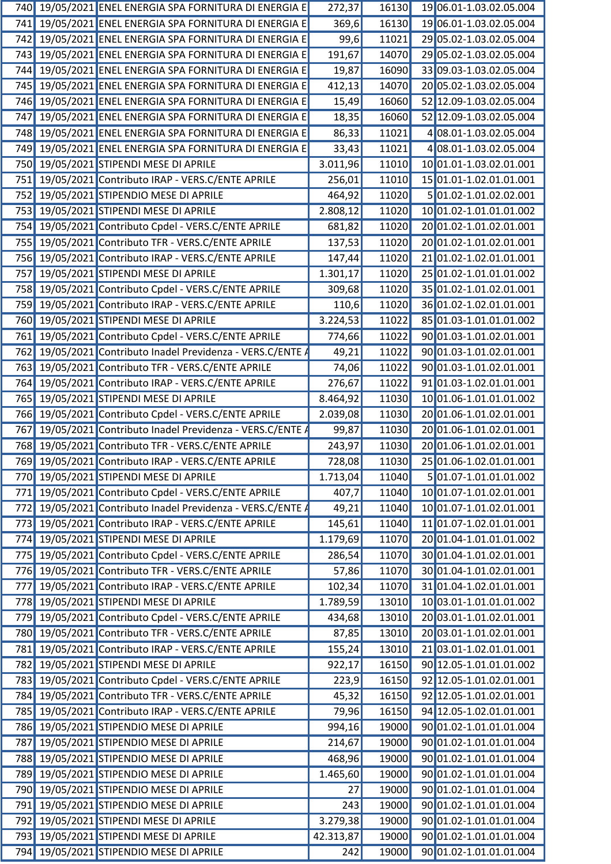| 740        | 19/05/2021 ENEL ENERGIA SPA FORNITURA DI ENERGIA E      | 272,37    | 16130 |    | 19 06.01-1.03.02.05.004 |
|------------|---------------------------------------------------------|-----------|-------|----|-------------------------|
| 741        | 19/05/2021 ENEL ENERGIA SPA FORNITURA DI ENERGIA E      | 369,6     | 16130 |    | 19 06.01-1.03.02.05.004 |
| 742        | 19/05/2021 ENEL ENERGIA SPA FORNITURA DI ENERGIA E      | 99,6      | 11021 |    | 29 05.02-1.03.02.05.004 |
| 743        | 19/05/2021 ENEL ENERGIA SPA FORNITURA DI ENERGIA E      | 191,67    | 14070 | 29 | 05.02-1.03.02.05.004    |
| 744        | 19/05/2021 ENEL ENERGIA SPA FORNITURA DI ENERGIA E      | 19,87     | 16090 |    | 33 09.03-1.03.02.05.004 |
| 745        | 19/05/2021 ENEL ENERGIA SPA FORNITURA DI ENERGIA E      | 412,13    | 14070 |    | 20 05.02-1.03.02.05.004 |
| 746        | 19/05/2021 ENEL ENERGIA SPA FORNITURA DI ENERGIA E      | 15,49     | 16060 |    | 52 12.09-1.03.02.05.004 |
| 747        | 19/05/2021 ENEL ENERGIA SPA FORNITURA DI ENERGIA E      | 18,35     | 16060 |    | 52 12.09-1.03.02.05.004 |
| 748        | 19/05/2021 ENEL ENERGIA SPA FORNITURA DI ENERGIA E      | 86,33     | 11021 |    | 4 08.01-1.03.02.05.004  |
| 749        | 19/05/2021 ENEL ENERGIA SPA FORNITURA DI ENERGIA E      | 33,43     | 11021 |    | 4 08.01-1.03.02.05.004  |
| 750        | 19/05/2021 STIPENDI MESE DI APRILE                      | 3.011,96  | 11010 |    | 10 01.01-1.03.02.01.001 |
| 751        | 19/05/2021 Contributo IRAP - VERS.C/ENTE APRILE         | 256,01    | 11010 |    | 15 01.01-1.02.01.01.001 |
| 752        | 19/05/2021 STIPENDIO MESE DI APRILE                     | 464,92    | 11020 |    | 501.02-1.01.02.02.001   |
| 753        | 19/05/2021 STIPENDI MESE DI APRILE                      | 2.808,12  | 11020 |    | 10 01.02-1.01.01.01.002 |
| 754        | 19/05/2021 Contributo Cpdel - VERS.C/ENTE APRILE        | 681,82    | 11020 |    | 20 01.02-1.01.02.01.001 |
| 755        | 19/05/2021 Contributo TFR - VERS.C/ENTE APRILE          | 137,53    | 11020 |    | 20 01.02-1.01.02.01.001 |
| 756        | 19/05/2021 Contributo IRAP - VERS.C/ENTE APRILE         | 147,44    | 11020 |    | 21 01.02-1.02.01.01.001 |
| 757        | 19/05/2021 STIPENDI MESE DI APRILE                      | 1.301, 17 | 11020 |    | 25 01.02-1.01.01.01.002 |
| 758        | 19/05/2021 Contributo Cpdel - VERS.C/ENTE APRILE        | 309,68    | 11020 |    | 35 01.02-1.01.02.01.001 |
| 759        | 19/05/2021 Contributo IRAP - VERS.C/ENTE APRILE         | 110,6     | 11020 |    | 36 01.02-1.02.01.01.001 |
| 760        | 19/05/2021 STIPENDI MESE DI APRILE                      | 3.224,53  | 11022 |    | 85 01.03-1.01.01.01.002 |
| 761        | 19/05/2021 Contributo Cpdel - VERS.C/ENTE APRILE        | 774,66    | 11022 |    | 90 01.03-1.01.02.01.001 |
| 762        | 19/05/2021 Contributo Inadel Previdenza - VERS.C/ENTE A | 49,21     | 11022 |    | 90 01.03-1.01.02.01.001 |
| 763        | 19/05/2021 Contributo TFR - VERS.C/ENTE APRILE          | 74,06     | 11022 |    | 90 01.03-1.01.02.01.001 |
| 764        | 19/05/2021 Contributo IRAP - VERS.C/ENTE APRILE         | 276,67    | 11022 |    | 91 01.03-1.02.01.01.001 |
| 765        | 19/05/2021 STIPENDI MESE DI APRILE                      | 8.464,92  | 11030 |    | 10 01.06-1.01.01.01.002 |
| 766        | 19/05/2021 Contributo Cpdel - VERS.C/ENTE APRILE        | 2.039,08  | 11030 |    | 20 01.06-1.01.02.01.001 |
| 767        | 19/05/2021 Contributo Inadel Previdenza - VERS.C/ENTE / | 99,87     | 11030 |    | 20 01.06-1.01.02.01.001 |
| 768        | 19/05/2021 Contributo TFR - VERS.C/ENTE APRILE          | 243,97    | 11030 |    | 20 01.06-1.01.02.01.001 |
|            | 769 19/05/2021 Contributo IRAP - VERS.C/ENTE APRILE     | 728,08    | 11030 |    | 25 01.06-1.02.01.01.001 |
| 770        | 19/05/2021 STIPENDI MESE DI APRILE                      | 1.713,04  | 11040 |    | 5 01.07-1.01.01.01.002  |
| 771        | 19/05/2021 Contributo Cpdel - VERS.C/ENTE APRILE        | 407,7     | 11040 |    | 10 01.07-1.01.02.01.001 |
| 772        | 19/05/2021 Contributo Inadel Previdenza - VERS.C/ENTE / | 49,21     | 11040 |    | 10 01.07-1.01.02.01.001 |
| 773        | 19/05/2021 Contributo IRAP - VERS.C/ENTE APRILE         | 145,61    | 11040 |    | 11 01.07-1.02.01.01.001 |
| 774        | 19/05/2021 STIPENDI MESE DI APRILE                      | 1.179,69  | 11070 |    | 20 01.04-1.01.01.01.002 |
| 775        | 19/05/2021 Contributo Cpdel - VERS.C/ENTE APRILE        | 286,54    | 11070 |    | 30 01.04-1.01.02.01.001 |
| 776        | 19/05/2021 Contributo TFR - VERS.C/ENTE APRILE          | 57,86     | 11070 |    | 30 01.04-1.01.02.01.001 |
| 777        | 19/05/2021 Contributo IRAP - VERS.C/ENTE APRILE         | 102,34    | 11070 |    | 31 01.04-1.02.01.01.001 |
| 778        | 19/05/2021 STIPENDI MESE DI APRILE                      | 1.789,59  | 13010 |    | 10 03.01-1.01.01.01.002 |
| 779        | 19/05/2021 Contributo Cpdel - VERS.C/ENTE APRILE        | 434,68    | 13010 |    | 20 03.01-1.01.02.01.001 |
| 780        | 19/05/2021 Contributo TFR - VERS.C/ENTE APRILE          | 87,85     | 13010 |    | 20 03.01-1.01.02.01.001 |
| <b>781</b> | 19/05/2021 Contributo IRAP - VERS.C/ENTE APRILE         | 155,24    | 13010 |    | 21 03.01-1.02.01.01.001 |
| 782        | 19/05/2021 STIPENDI MESE DI APRILE                      | 922,17    | 16150 |    | 90 12.05-1.01.01.01.002 |
| 783        | 19/05/2021 Contributo Cpdel - VERS.C/ENTE APRILE        | 223,9     | 16150 |    | 92 12.05-1.01.02.01.001 |
| 784        | 19/05/2021 Contributo TFR - VERS.C/ENTE APRILE          | 45,32     | 16150 |    | 92 12.05-1.01.02.01.001 |
| 785        | 19/05/2021 Contributo IRAP - VERS.C/ENTE APRILE         | 79,96     | 16150 |    | 94 12.05-1.02.01.01.001 |
| 786        | 19/05/2021 STIPENDIO MESE DI APRILE                     | 994,16    | 19000 |    | 90 01.02-1.01.01.01.004 |
| 787        | 19/05/2021 STIPENDIO MESE DI APRILE                     | 214,67    | 19000 |    | 90 01.02-1.01.01.01.004 |
|            | 788 19/05/2021 STIPENDIO MESE DI APRILE                 | 468,96    | 19000 |    | 90 01.02-1.01.01.01.004 |
| 789        | 19/05/2021 STIPENDIO MESE DI APRILE                     | 1.465,60  | 19000 |    | 90 01.02-1.01.01.01.004 |
| 790        | 19/05/2021 STIPENDIO MESE DI APRILE                     | 27        | 19000 |    | 90 01.02-1.01.01.01.004 |
| 791        | 19/05/2021 STIPENDIO MESE DI APRILE                     | 243       | 19000 |    | 90 01.02-1.01.01.01.004 |
| 792        | 19/05/2021 STIPENDI MESE DI APRILE                      | 3.279,38  | 19000 |    | 90 01.02-1.01.01.01.004 |
| 793        | 19/05/2021 STIPENDI MESE DI APRILE                      | 42.313,87 | 19000 |    | 90 01.02-1.01.01.01.004 |
| 794        | 19/05/2021 STIPENDIO MESE DI APRILE                     | 242       | 19000 |    | 90 01.02-1.01.01.01.004 |
|            |                                                         |           |       |    |                         |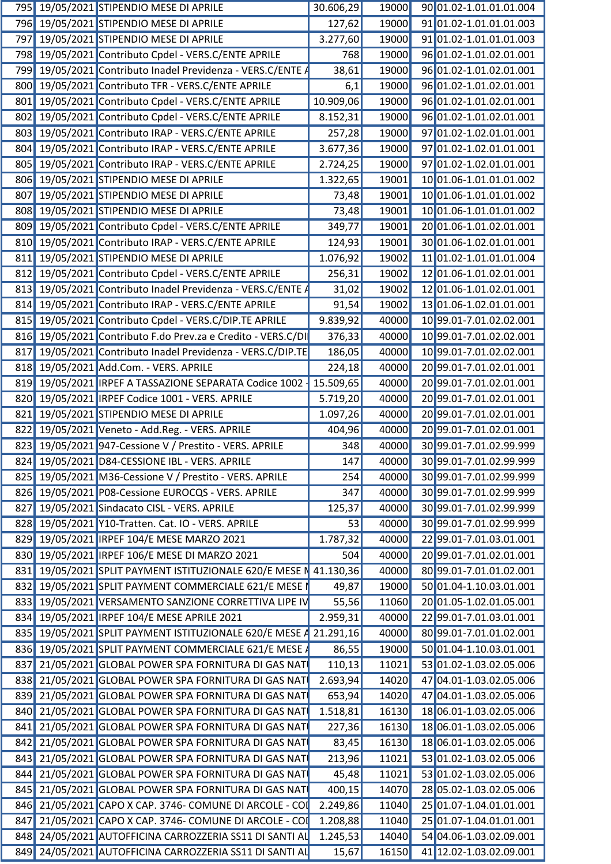|  | 795 19/05/2021 STIPENDIO MESE DI APRILE                            | 30.606,29 |       | 19000 90 01.02-1.01.01.01.004 |
|--|--------------------------------------------------------------------|-----------|-------|-------------------------------|
|  | 796 19/05/2021 STIPENDIO MESE DI APRILE                            | 127,62    | 19000 | 91 01.02-1.01.01.01.003       |
|  | 797 19/05/2021 STIPENDIO MESE DI APRILE                            | 3.277,60  | 19000 | 9101.02-1.01.01.01.003        |
|  | 798 19/05/2021 Contributo Cpdel - VERS.C/ENTE APRILE               | 768       | 19000 | 96 01.02-1.01.02.01.001       |
|  | 799 19/05/2021 Contributo Inadel Previdenza - VERS.C/ENTE /        | 38,61     | 19000 | 96 01.02-1.01.02.01.001       |
|  | 800 19/05/2021 Contributo TFR - VERS.C/ENTE APRILE                 | 6,1       | 19000 | 96 01.02-1.01.02.01.001       |
|  | 801 19/05/2021 Contributo Cpdel - VERS.C/ENTE APRILE               | 10.909,06 | 19000 | 96 01.02-1.01.02.01.001       |
|  | 802 19/05/2021 Contributo Cpdel - VERS.C/ENTE APRILE               | 8.152,31  | 19000 | 96 01.02-1.01.02.01.001       |
|  | 803 19/05/2021 Contributo IRAP - VERS.C/ENTE APRILE                | 257,28    | 19000 | 97 01.02-1.02.01.01.001       |
|  | 804 19/05/2021 Contributo IRAP - VERS.C/ENTE APRILE                | 3.677,36  | 19000 | 97 01.02-1.02.01.01.001       |
|  | 805 19/05/2021 Contributo IRAP - VERS.C/ENTE APRILE                | 2.724,25  | 19000 | 97 01.02-1.02.01.01.001       |
|  | 806 19/05/2021 STIPENDIO MESE DI APRILE                            |           | 19001 | 10 01.06-1.01.01.01.002       |
|  |                                                                    | 1.322,65  |       |                               |
|  | 807 19/05/2021 STIPENDIO MESE DI APRILE                            | 73,48     | 19001 | 10 01.06-1.01.01.01.002       |
|  | 808 19/05/2021 STIPENDIO MESE DI APRILE                            | 73,48     | 19001 | 10 01.06-1.01.01.01.002       |
|  | 809 19/05/2021 Contributo Cpdel - VERS.C/ENTE APRILE               | 349,77    | 19001 | 20 01.06-1.01.02.01.001       |
|  | 810 19/05/2021 Contributo IRAP - VERS.C/ENTE APRILE                | 124,93    | 19001 | 30 01.06-1.02.01.01.001       |
|  | 811 19/05/2021 STIPENDIO MESE DI APRILE                            | 1.076,92  | 19002 | 11 01.02-1.01.01.01.004       |
|  | 812 19/05/2021 Contributo Cpdel - VERS.C/ENTE APRILE               | 256,31    | 19002 | 12 01.06-1.01.02.01.001       |
|  | 813 19/05/2021 Contributo Inadel Previdenza - VERS.C/ENTE A        | 31,02     | 19002 | 12 01.06-1.01.02.01.001       |
|  | 814 19/05/2021 Contributo IRAP - VERS.C/ENTE APRILE                | 91,54     | 19002 | 13 01.06-1.02.01.01.001       |
|  | 815 19/05/2021 Contributo Cpdel - VERS.C/DIP.TE APRILE             | 9.839,92  | 40000 | 10 99.01-7.01.02.02.001       |
|  | 816 19/05/2021 Contributo F.do Prev.za e Credito - VERS.C/DI       | 376,33    | 40000 | 10 99.01-7.01.02.02.001       |
|  | 817 19/05/2021 Contributo Inadel Previdenza - VERS.C/DIP.TE        | 186,05    | 40000 | 10 99.01-7.01.02.02.001       |
|  | 818 19/05/2021 Add.Com. - VERS. APRILE                             | 224,18    | 40000 | 20 99.01-7.01.02.01.001       |
|  | 819 19/05/2021 IRPEF A TASSAZIONE SEPARATA Codice 1002   15.509,65 |           | 40000 | 20 99.01-7.01.02.01.001       |
|  |                                                                    |           |       |                               |
|  | 820 19/05/2021 IRPEF Codice 1001 - VERS. APRILE                    | 5.719,20  | 40000 | 20 99.01-7.01.02.01.001       |
|  | 821 19/05/2021 STIPENDIO MESE DI APRILE                            | 1.097,26  | 40000 | 20 99.01-7.01.02.01.001       |
|  | 822 19/05/2021 Veneto - Add.Reg. - VERS. APRILE                    | 404,96    | 40000 | 20 99.01-7.01.02.01.001       |
|  | 823 19/05/2021 947-Cessione V / Prestito - VERS. APRILE            | 348       | 40000 | 30 99.01-7.01.02.99.999       |
|  | 824 19/05/2021 D84-CESSIONE IBL - VERS. APRILE                     | 147       |       | 40000 30 99.01-7.01.02.99.999 |
|  | 825 19/05/2021 M36-Cessione V / Prestito - VERS. APRILE            | 254       | 40000 | 30 99.01-7.01.02.99.999       |
|  | 826 19/05/2021 P08-Cessione EUROCQS - VERS. APRILE                 | 347       | 40000 | 30 99.01-7.01.02.99.999       |
|  | 827 19/05/2021 Sindacato CISL - VERS. APRILE                       | 125,37    | 40000 | 30 99.01-7.01.02.99.999       |
|  | 828 19/05/2021 Y10-Tratten. Cat. IO - VERS. APRILE                 | 53        | 40000 | 30 99.01-7.01.02.99.999       |
|  | 829 19/05/2021 IRPEF 104/E MESE MARZO 2021                         | 1.787,32  | 40000 | 22 99.01-7.01.03.01.001       |
|  | 830 19/05/2021 IRPEF 106/E MESE DI MARZO 2021                      | 504       | 40000 | 20 99.01-7.01.02.01.001       |
|  | 831 19/05/2021 SPLIT PAYMENT ISTITUZIONALE 620/E MESE N 41.130,36  |           | 40000 | 80 99.01-7.01.01.02.001       |
|  |                                                                    |           |       |                               |
|  | 832 19/05/2021 SPLIT PAYMENT COMMERCIALE 621/E MESE                | 49,87     | 19000 | 50 01.04-1.10.03.01.001       |
|  | 833 19/05/2021 VERSAMENTO SANZIONE CORRETTIVA LIPE IV              | 55,56     | 11060 | 20 01.05-1.02.01.05.001       |
|  | 834 19/05/2021 IRPEF 104/E MESE APRILE 2021                        | 2.959,31  | 40000 | 2299.01-7.01.03.01.001        |
|  | 835 19/05/2021 SPLIT PAYMENT ISTITUZIONALE 620/E MESE 4 21.291,16  |           | 40000 | 80 99.01-7.01.01.02.001       |
|  | 836 19/05/2021 SPLIT PAYMENT COMMERCIALE 621/E MESE                | 86,55     | 19000 | 50 01.04-1.10.03.01.001       |
|  | 837 21/05/2021 GLOBAL POWER SPA FORNITURA DI GAS NAT               | 110,13    | 11021 | 53 01.02-1.03.02.05.006       |
|  | 838 21/05/2021 GLOBAL POWER SPA FORNITURA DI GAS NAT               | 2.693,94  | 14020 | 47 04.01-1.03.02.05.006       |
|  | 839 21/05/2021 GLOBAL POWER SPA FORNITURA DI GAS NAT               | 653,94    | 14020 | 47 04.01-1.03.02.05.006       |
|  | 840 21/05/2021 GLOBAL POWER SPA FORNITURA DI GAS NAT               | 1.518,81  | 16130 | 18 06.01-1.03.02.05.006       |
|  | 841 21/05/2021 GLOBAL POWER SPA FORNITURA DI GAS NAT               | 227,36    | 16130 | 18 06.01-1.03.02.05.006       |
|  |                                                                    |           |       |                               |
|  | 842 21/05/2021 GLOBAL POWER SPA FORNITURA DI GAS NAT               | 83,45     | 16130 | 18 06.01-1.03.02.05.006       |
|  | 843 21/05/2021 GLOBAL POWER SPA FORNITURA DI GAS NAT               | 213,96    | 11021 | 53 01.02-1.03.02.05.006       |
|  | 844 21/05/2021 GLOBAL POWER SPA FORNITURA DI GAS NAT               | 45,48     | 11021 | 53 01.02-1.03.02.05.006       |
|  | 845 21/05/2021 GLOBAL POWER SPA FORNITURA DI GAS NAT               | 400,15    | 14070 | 28 05.02-1.03.02.05.006       |
|  | 846 21/05/2021 CAPO X CAP. 3746- COMUNE DI ARCOLE - CO             | 2.249,86  | 11040 | 25 01.07-1.04.01.01.001       |
|  | 847 21/05/2021 CAPO X CAP. 3746- COMUNE DI ARCOLE - COL            | 1.208,88  | 11040 | 25 01.07-1.04.01.01.001       |
|  | 848 24/05/2021 AUTOFFICINA CARROZZERIA SS11 DI SANTI AL            | 1.245,53  | 14040 | 54 04.06-1.03.02.09.001       |
|  | 849 24/05/2021 AUTOFFICINA CARROZZERIA SS11 DI SANTI AL            | 15,67     |       | 16150 41 12.02-1.03.02.09.001 |
|  |                                                                    |           |       |                               |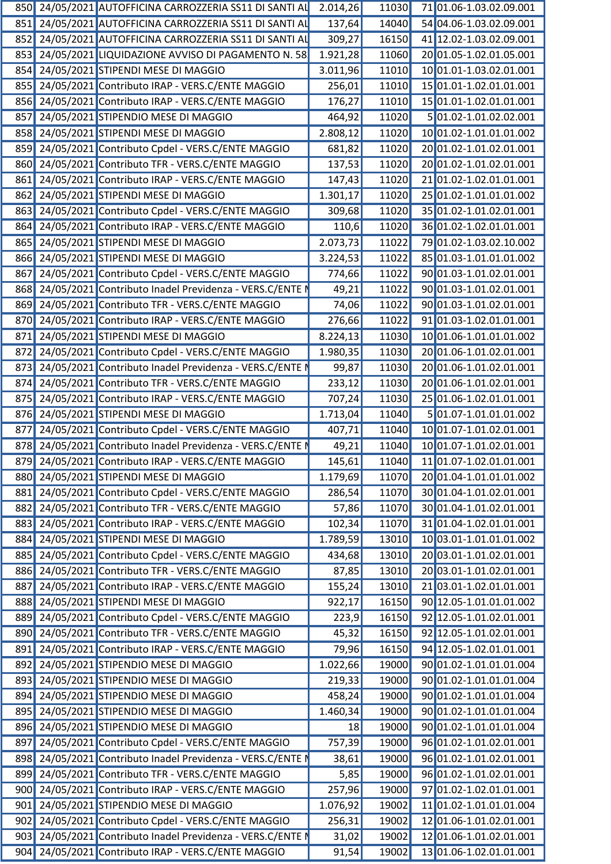|  | 850 24/05/2021 AUTOFFICINA CARROZZERIA SS11 DI SANTI AL 2.014,26 |          |       | 11030 71 01.06-1.03.02.09.001 |
|--|------------------------------------------------------------------|----------|-------|-------------------------------|
|  | 851 24/05/2021 AUTOFFICINA CARROZZERIA SS11 DI SANTI AL          | 137,64   | 14040 | 54 04.06-1.03.02.09.001       |
|  | 852 24/05/2021 AUTOFFICINA CARROZZERIA SS11 DI SANTI AL          | 309,27   | 16150 | 41 12.02-1.03.02.09.001       |
|  | 853 24/05/2021 LIQUIDAZIONE AVVISO DI PAGAMENTO N. 58            | 1.921,28 | 11060 | 20 01.05-1.02.01.05.001       |
|  | 854 24/05/2021 STIPENDI MESE DI MAGGIO                           | 3.011,96 | 11010 | 10 01.01-1.03.02.01.001       |
|  | 855 24/05/2021 Contributo IRAP - VERS.C/ENTE MAGGIO              | 256,01   | 11010 | 15 01.01-1.02.01.01.001       |
|  | 856 24/05/2021 Contributo IRAP - VERS.C/ENTE MAGGIO              | 176,27   | 11010 | 15 01.01-1.02.01.01.001       |
|  | 857 24/05/2021 STIPENDIO MESE DI MAGGIO                          | 464,92   | 11020 | 5 01.02-1.01.02.02.001        |
|  | 858 24/05/2021 STIPENDI MESE DI MAGGIO                           | 2.808,12 | 11020 | 10 01.02-1.01.01.01.002       |
|  | 859 24/05/2021 Contributo Cpdel - VERS.C/ENTE MAGGIO             | 681,82   | 11020 | 20 01.02-1.01.02.01.001       |
|  | 860 24/05/2021 Contributo TFR - VERS.C/ENTE MAGGIO               | 137,53   | 11020 | 20 01.02-1.01.02.01.001       |
|  | 861 24/05/2021 Contributo IRAP - VERS.C/ENTE MAGGIO              | 147,43   | 11020 | 21 01.02-1.02.01.01.001       |
|  |                                                                  |          |       |                               |
|  | 862 24/05/2021 STIPENDI MESE DI MAGGIO                           | 1.301,17 | 11020 | 25 01.02-1.01.01.01.002       |
|  | 863 24/05/2021 Contributo Cpdel - VERS.C/ENTE MAGGIO             | 309,68   | 11020 | 35 01.02-1.01.02.01.001       |
|  | 864 24/05/2021 Contributo IRAP - VERS.C/ENTE MAGGIO              | 110,6    | 11020 | 36 01.02-1.02.01.01.001       |
|  | 865 24/05/2021 STIPENDI MESE DI MAGGIO                           | 2.073,73 | 11022 | 79 01.02-1.03.02.10.002       |
|  | 866 24/05/2021 STIPENDI MESE DI MAGGIO                           | 3.224,53 | 11022 | 85 01.03-1.01.01.01.002       |
|  | 867 24/05/2021 Contributo Cpdel - VERS.C/ENTE MAGGIO             | 774,66   | 11022 | 90 01.03-1.01.02.01.001       |
|  | 868 24/05/2021 Contributo Inadel Previdenza - VERS.C/ENTE I      | 49,21    | 11022 | 90 01.03-1.01.02.01.001       |
|  | 869 24/05/2021 Contributo TFR - VERS.C/ENTE MAGGIO               | 74,06    | 11022 | 90 01.03-1.01.02.01.001       |
|  | 870 24/05/2021 Contributo IRAP - VERS.C/ENTE MAGGIO              | 276,66   | 11022 | 91 01.03-1.02.01.01.001       |
|  | 871 24/05/2021 STIPENDI MESE DI MAGGIO                           | 8.224,13 | 11030 | 10 01.06-1.01.01.01.002       |
|  | 872 24/05/2021 Contributo Cpdel - VERS.C/ENTE MAGGIO             | 1.980,35 | 11030 | 20 01.06-1.01.02.01.001       |
|  | 873 24/05/2021 Contributo Inadel Previdenza - VERS.C/ENTE I      | 99,87    | 11030 | 20 01.06-1.01.02.01.001       |
|  | 874 24/05/2021 Contributo TFR - VERS.C/ENTE MAGGIO               | 233,12   | 11030 | 20 01.06-1.01.02.01.001       |
|  | 875 24/05/2021 Contributo IRAP - VERS.C/ENTE MAGGIO              |          |       |                               |
|  |                                                                  | 707,24   | 11030 | 25 01.06-1.02.01.01.001       |
|  | 876 24/05/2021 STIPENDI MESE DI MAGGIO                           | 1.713,04 | 11040 | 5 01.07-1.01.01.01.002        |
|  | 877 24/05/2021 Contributo Cpdel - VERS.C/ENTE MAGGIO             | 407,71   | 11040 | 10 01.07-1.01.02.01.001       |
|  | 878 24/05/2021 Contributo Inadel Previdenza - VERS.C/ENTE I      | 49,21    | 11040 | 10 01.07-1.01.02.01.001       |
|  | 879 24/05/2021 Contributo IRAP - VERS.C/ENTE MAGGIO              | 145,61   |       | 11040 11 01.07-1.02.01.01.001 |
|  | 880 24/05/2021 STIPENDI MESE DI MAGGIO                           | 1.179,69 | 11070 | 20 01.04-1.01.01.01.002       |
|  | 881 24/05/2021 Contributo Cpdel - VERS.C/ENTE MAGGIO             | 286,54   | 11070 | 30 01.04-1.01.02.01.001       |
|  | 882 24/05/2021 Contributo TFR - VERS.C/ENTE MAGGIO               | 57,86    | 11070 | 30 01.04-1.01.02.01.001       |
|  | 883 24/05/2021 Contributo IRAP - VERS.C/ENTE MAGGIO              | 102,34   | 11070 | 31 01.04-1.02.01.01.001       |
|  | 884 24/05/2021 STIPENDI MESE DI MAGGIO                           | 1.789,59 | 13010 | 10 03.01-1.01.01.01.002       |
|  | 885 24/05/2021 Contributo Cpdel - VERS.C/ENTE MAGGIO             | 434,68   | 13010 | 20 03.01-1.01.02.01.001       |
|  | 886 24/05/2021 Contributo TFR - VERS.C/ENTE MAGGIO               | 87,85    | 13010 | 20 03.01-1.01.02.01.001       |
|  | 887 24/05/2021 Contributo IRAP - VERS.C/ENTE MAGGIO              | 155,24   | 13010 | 21 03.01-1.02.01.01.001       |
|  |                                                                  |          |       |                               |
|  | 888 24/05/2021 STIPENDI MESE DI MAGGIO                           | 922,17   | 16150 | 90 12.05-1.01.01.01.002       |
|  | 889 24/05/2021 Contributo Cpdel - VERS.C/ENTE MAGGIO             | 223,9    | 16150 | 92 12.05-1.01.02.01.001       |
|  | 890 24/05/2021 Contributo TFR - VERS.C/ENTE MAGGIO               | 45,32    | 16150 | 92 12.05-1.01.02.01.001       |
|  | 891 24/05/2021 Contributo IRAP - VERS.C/ENTE MAGGIO              | 79,96    | 16150 | 94 12.05-1.02.01.01.001       |
|  | 892 24/05/2021 STIPENDIO MESE DI MAGGIO                          | 1.022,66 | 19000 | 90 01.02-1.01.01.01.004       |
|  | 893 24/05/2021 STIPENDIO MESE DI MAGGIO                          | 219,33   | 19000 | 90 01.02-1.01.01.01.004       |
|  | 894 24/05/2021 STIPENDIO MESE DI MAGGIO                          | 458,24   | 19000 | 90 01.02-1.01.01.01.004       |
|  | 895 24/05/2021 STIPENDIO MESE DI MAGGIO                          | 1.460,34 | 19000 | 90 01.02-1.01.01.01.004       |
|  | 896 24/05/2021 STIPENDIO MESE DI MAGGIO                          | 18       | 19000 | 90 01.02-1.01.01.01.004       |
|  | 897 24/05/2021 Contributo Cpdel - VERS.C/ENTE MAGGIO             | 757,39   | 19000 | 96 01.02-1.01.02.01.001       |
|  | 898 24/05/2021 Contributo Inadel Previdenza - VERS.C/ENTE I      | 38,61    | 19000 | 96 01.02-1.01.02.01.001       |
|  |                                                                  |          |       |                               |
|  | 899 24/05/2021 Contributo TFR - VERS.C/ENTE MAGGIO               | 5,85     | 19000 | 96 01.02-1.01.02.01.001       |
|  | 900 24/05/2021 Contributo IRAP - VERS.C/ENTE MAGGIO              | 257,96   | 19000 | 97 01.02-1.02.01.01.001       |
|  | 901 24/05/2021 STIPENDIO MESE DI MAGGIO                          | 1.076,92 | 19002 | 11 01.02-1.01.01.01.004       |
|  | 902 24/05/2021 Contributo Cpdel - VERS.C/ENTE MAGGIO             | 256,31   | 19002 | 12 01.06-1.01.02.01.001       |
|  | 903 24/05/2021 Contributo Inadel Previdenza - VERS.C/ENTE I      | 31,02    | 19002 | 12 01.06-1.01.02.01.001       |
|  | 904 24/05/2021 Contributo IRAP - VERS.C/ENTE MAGGIO              | 91,54    | 19002 | 13 01.06-1.02.01.01.001       |
|  |                                                                  |          |       |                               |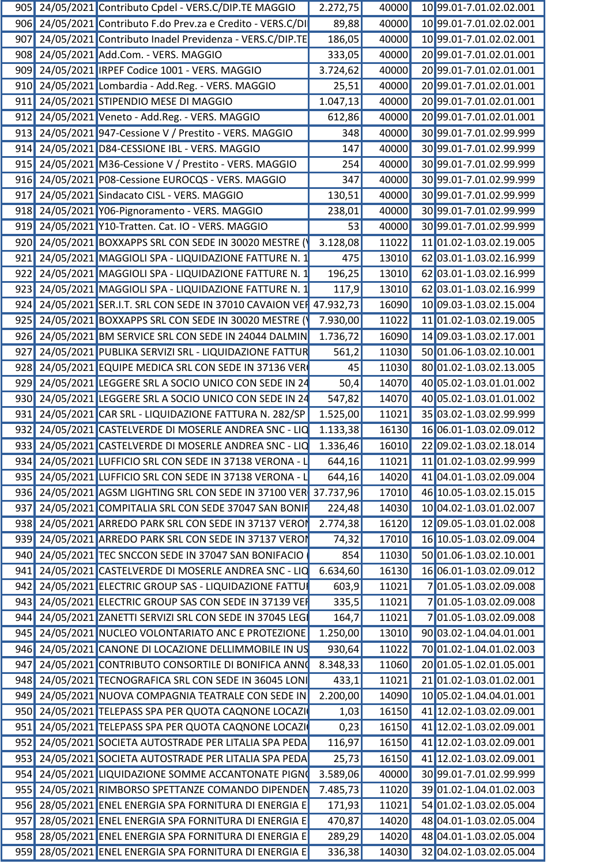|  | 905 24/05/2021 Contributo Cpdel - VERS.C/DIP.TE MAGGIO              | 2.272,75 | 40000 | 10 99.01-7.01.02.02.001       |
|--|---------------------------------------------------------------------|----------|-------|-------------------------------|
|  | 906 24/05/2021 Contributo F.do Prev.za e Credito - VERS.C/DI        | 89,88    | 40000 | 10 99.01-7.01.02.02.001       |
|  | 907 24/05/2021 Contributo Inadel Previdenza - VERS.C/DIP.TE         | 186,05   | 40000 | 10 99.01-7.01.02.02.001       |
|  | 908 24/05/2021 Add.Com. - VERS. MAGGIO                              | 333,05   | 40000 | 20 99.01-7.01.02.01.001       |
|  | 909 24/05/2021 IRPEF Codice 1001 - VERS. MAGGIO                     | 3.724,62 | 40000 | 20 99.01-7.01.02.01.001       |
|  | 910 24/05/2021 Lombardia - Add.Reg. - VERS. MAGGIO                  | 25,51    | 40000 | 20 99.01-7.01.02.01.001       |
|  | 911 24/05/2021 STIPENDIO MESE DI MAGGIO                             | 1.047,13 | 40000 | 20 99.01-7.01.02.01.001       |
|  | 912 24/05/2021 Veneto - Add.Reg. - VERS. MAGGIO                     | 612,86   | 40000 | 20 99.01-7.01.02.01.001       |
|  | 913 24/05/2021 947-Cessione V / Prestito - VERS. MAGGIO             | 348      | 40000 | 30 99.01-7.01.02.99.999       |
|  | 914 24/05/2021 D84-CESSIONE IBL - VERS. MAGGIO                      | 147      | 40000 | 3099.01-7.01.02.99.999        |
|  | 915 24/05/2021 M36-Cessione V / Prestito - VERS. MAGGIO             | 254      | 40000 | 30 99.01-7.01.02.99.999       |
|  |                                                                     | 347      | 40000 |                               |
|  | 916 24/05/2021 P08-Cessione EUROCQS - VERS. MAGGIO                  |          |       | 30 99.01-7.01.02.99.999       |
|  | 917 24/05/2021 Sindacato CISL - VERS. MAGGIO                        | 130,51   | 40000 | 30 99.01-7.01.02.99.999       |
|  | 918 24/05/2021 Y06-Pignoramento - VERS. MAGGIO                      | 238,01   | 40000 | 3099.01-7.01.02.99.999        |
|  | 919 24/05/2021 Y10-Tratten. Cat. IO - VERS. MAGGIO                  | 53       | 40000 | 30 99.01-7.01.02.99.999       |
|  | 920 24/05/2021 BOXXAPPS SRL CON SEDE IN 30020 MESTRE (              | 3.128,08 | 11022 | 11 01.02-1.03.02.19.005       |
|  | 921 24/05/2021 MAGGIOLI SPA - LIQUIDAZIONE FATTURE N.               | 475      | 13010 | 62 03.01-1.03.02.16.999       |
|  | 922 24/05/2021 MAGGIOLI SPA - LIQUIDAZIONE FATTURE N.               | 196,25   | 13010 | 62 03.01-1.03.02.16.999       |
|  | 923 24/05/2021 MAGGIOLI SPA - LIQUIDAZIONE FATTURE N.               | 117,9    | 13010 | 62 03.01-1.03.02.16.999       |
|  | 924 24/05/2021 SER.I.T. SRL CON SEDE IN 37010 CAVAION VEF 47.932,73 |          | 16090 | 10 09.03-1.03.02.15.004       |
|  | 925 24/05/2021 BOXXAPPS SRL CON SEDE IN 30020 MESTRE (              | 7.930,00 | 11022 | 11 01.02-1.03.02.19.005       |
|  | 926 24/05/2021 BM SERVICE SRL CON SEDE IN 24044 DALMIN              | 1.736,72 | 16090 | 14 09.03-1.03.02.17.001       |
|  | 927 24/05/2021 PUBLIKA SERVIZI SRL - LIQUIDAZIONE FATTUR            | 561,2    | 11030 | 50 01.06-1.03.02.10.001       |
|  | 928 24/05/2021 EQUIPE MEDICA SRL CON SEDE IN 37136 VER              | 45       | 11030 | 80 01.02-1.03.02.13.005       |
|  | 929 24/05/2021 LEGGERE SRL A SOCIO UNICO CON SEDE IN 24             | 50,4     | 14070 | 40 05.02-1.03.01.01.002       |
|  | 930 24/05/2021 LEGGERE SRL A SOCIO UNICO CON SEDE IN 24             | 547,82   | 14070 | 40 05.02-1.03.01.01.002       |
|  | 931 24/05/2021 CAR SRL - LIQUIDAZIONE FATTURA N. 282/SP             | 1.525,00 | 11021 | 35 03.02-1.03.02.99.999       |
|  | 932 24/05/2021 CASTELVERDE DI MOSERLE ANDREA SNC - LIQ              | 1.133,38 | 16130 | 16 06.01-1.03.02.09.012       |
|  | 933 24/05/2021 CASTELVERDE DI MOSERLE ANDREA SNC - LIQ 1.336,46     |          | 16010 | 22 09.02-1.03.02.18.014       |
|  | 934 24/05/2021 LUFFICIO SRL CON SEDE IN 37138 VERONA - L            |          |       | 11021 11 01.02-1.03.02.99.999 |
|  |                                                                     | 644,16   |       |                               |
|  | 935 24/05/2021 LUFFICIO SRL CON SEDE IN 37138 VERONA - L            | 644,16   | 14020 | 41 04.01-1.03.02.09.004       |
|  | 936 24/05/2021 AGSM LIGHTING SRL CON SEDE IN 37100 VER 37.737,96    |          | 17010 | 46 10.05-1.03.02.15.015       |
|  | 937 24/05/2021 COMPITALIA SRL CON SEDE 37047 SAN BONIF              | 224,48   | 14030 | 10 04.02-1.03.01.02.007       |
|  | 938 24/05/2021 ARREDO PARK SRL CON SEDE IN 37137 VEROI              | 2.774,38 | 16120 | 12 09.05-1.03.01.02.008       |
|  | 939 24/05/2021 ARREDO PARK SRL CON SEDE IN 37137 VEROI              | 74,32    | 17010 | 16 10.05-1.03.02.09.004       |
|  | 940 24/05/2021 TEC SNCCON SEDE IN 37047 SAN BONIFACIO               | 854      | 11030 | 50 01.06-1.03.02.10.001       |
|  | 941 24/05/2021 CASTELVERDE DI MOSERLE ANDREA SNC - LIC              | 6.634,60 | 16130 | 16 06.01-1.03.02.09.012       |
|  | 942 24/05/2021 ELECTRIC GROUP SAS - LIQUIDAZIONE FATTUI             | 603,9    | 11021 | 701.05-1.03.02.09.008         |
|  | 943 24/05/2021 ELECTRIC GROUP SAS CON SEDE IN 37139 VEI             | 335,5    | 11021 | 701.05-1.03.02.09.008         |
|  | 944 24/05/2021 ZANETTI SERVIZI SRL CON SEDE IN 37045 LEG            | 164,7    | 11021 | 7 01.05-1.03.02.09.008        |
|  | 945 24/05/2021 NUCLEO VOLONTARIATO ANC E PROTEZIONE                 | 1.250,00 | 13010 | 90 03.02-1.04.04.01.001       |
|  | 946 24/05/2021 CANONE DI LOCAZIONE DELLIMMOBILE IN US               | 930,64   | 11022 | 70 01.02-1.04.01.02.003       |
|  | 947 24/05/2021 CONTRIBUTO CONSORTILE DI BONIFICA ANNO               | 8.348,33 | 11060 | 20 01.05-1.02.01.05.001       |
|  | 948 24/05/2021 TECNOGRAFICA SRL CON SEDE IN 36045 LONI              | 433,1    | 11021 | 21 01.02-1.03.01.02.001       |
|  | 949 24/05/2021 NUOVA COMPAGNIA TEATRALE CON SEDE IN                 | 2.200,00 | 14090 | 10 05.02-1.04.04.01.001       |
|  | 950 24/05/2021 TELEPASS SPA PER QUOTA CAQNONE LOCAZI                | 1,03     | 16150 | 41 12.02-1.03.02.09.001       |
|  | 951 24/05/2021 TELEPASS SPA PER QUOTA CAQNONE LOCAZI                | 0,23     | 16150 | 41 12.02-1.03.02.09.001       |
|  | 952 24/05/2021 SOCIETA AUTOSTRADE PER LITALIA SPA PEDA              | 116,97   | 16150 | 41 12.02-1.03.02.09.001       |
|  |                                                                     |          |       |                               |
|  | 953 24/05/2021 SOCIETA AUTOSTRADE PER LITALIA SPA PEDA              | 25,73    | 16150 | 41 12.02-1.03.02.09.001       |
|  | 954 24/05/2021 LIQUIDAZIONE SOMME ACCANTONATE PIGNO                 | 3.589,06 | 40000 | 30 99.01-7.01.02.99.999       |
|  | 955 24/05/2021 RIMBORSO SPETTANZE COMANDO DIPENDEN                  | 7.485,73 | 11020 | 39 01.02-1.04.01.02.003       |
|  | 956 28/05/2021 ENEL ENERGIA SPA FORNITURA DI ENERGIA E              | 171,93   | 11021 | 54 01.02-1.03.02.05.004       |
|  | 957 28/05/2021 ENEL ENERGIA SPA FORNITURA DI ENERGIA E              | 470,87   | 14020 | 48 04.01-1.03.02.05.004       |
|  | 958 28/05/2021 ENEL ENERGIA SPA FORNITURA DI ENERGIA E              | 289,29   | 14020 | 48 04.01-1.03.02.05.004       |
|  | 959 28/05/2021 ENEL ENERGIA SPA FORNITURA DI ENERGIA E              | 336,38   |       | 14030 32 04.02-1.03.02.05.004 |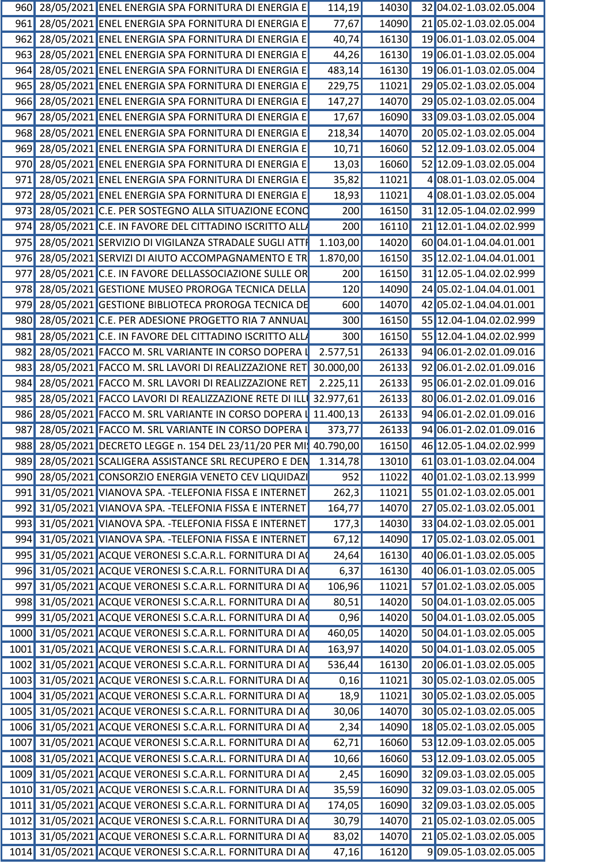|     | 960 28/05/2021 ENEL ENERGIA SPA FORNITURA DI ENERGIA E            | 114,19    | 14030 | 32 04.02-1.03.02.05.004       |  |
|-----|-------------------------------------------------------------------|-----------|-------|-------------------------------|--|
|     | 961 28/05/2021 ENEL ENERGIA SPA FORNITURA DI ENERGIA E            | 77,67     | 14090 | 21 05.02-1.03.02.05.004       |  |
|     | 962 28/05/2021 ENEL ENERGIA SPA FORNITURA DI ENERGIA E            | 40,74     | 16130 | 19 06.01-1.03.02.05.004       |  |
|     | 963 28/05/2021 ENEL ENERGIA SPA FORNITURA DI ENERGIA E            | 44,26     | 16130 | 19 06.01-1.03.02.05.004       |  |
|     | 964 28/05/2021 ENEL ENERGIA SPA FORNITURA DI ENERGIA E            | 483,14    | 16130 | 19 06.01-1.03.02.05.004       |  |
|     | 965 28/05/2021 ENEL ENERGIA SPA FORNITURA DI ENERGIA E            | 229,75    | 11021 | 29 05.02-1.03.02.05.004       |  |
|     | 966 28/05/2021 ENEL ENERGIA SPA FORNITURA DI ENERGIA E            | 147,27    | 14070 | 29 05.02-1.03.02.05.004       |  |
|     | 967 28/05/2021 ENEL ENERGIA SPA FORNITURA DI ENERGIA E            | 17,67     | 16090 | 33 09.03-1.03.02.05.004       |  |
|     | 968 28/05/2021 ENEL ENERGIA SPA FORNITURA DI ENERGIA E            | 218,34    | 14070 | 20 05.02-1.03.02.05.004       |  |
|     | 969 28/05/2021 ENEL ENERGIA SPA FORNITURA DI ENERGIA E            | 10,71     | 16060 | 52 12.09-1.03.02.05.004       |  |
|     | 970 28/05/2021 ENEL ENERGIA SPA FORNITURA DI ENERGIA E            | 13,03     | 16060 | 52 12.09-1.03.02.05.004       |  |
|     | 971 28/05/2021 ENEL ENERGIA SPA FORNITURA DI ENERGIA E            | 35,82     | 11021 | 4 08.01-1.03.02.05.004        |  |
|     | 972 28/05/2021 ENEL ENERGIA SPA FORNITURA DI ENERGIA E            | 18,93     | 11021 | 4 08.01-1.03.02.05.004        |  |
|     | 973 28/05/2021 C.E. PER SOSTEGNO ALLA SITUAZIONE ECONO            | 200       | 16150 | 31 12.05-1.04.02.02.999       |  |
|     | 974 28/05/2021 C.E. IN FAVORE DEL CITTADINO ISCRITTO ALL          | 200       | 16110 | 21 12.01-1.04.02.02.999       |  |
|     | 975 28/05/2021 SERVIZIO DI VIGILANZA STRADALE SUGLI ATTI          | 1.103,00  | 14020 | 60 04.01-1.04.04.01.001       |  |
|     | 976 28/05/2021 SERVIZI DI AIUTO ACCOMPAGNAMENTO E TR              | 1.870,00  | 16150 | 35 12.02-1.04.04.01.001       |  |
|     |                                                                   |           |       | 31 12.05-1.04.02.02.999       |  |
|     | 977 28/05/2021 C.E. IN FAVORE DELLASSOCIAZIONE SULLE OR           | 200       | 16150 |                               |  |
|     | 978 28/05/2021 GESTIONE MUSEO PROROGA TECNICA DELLA               | 120       | 14090 | 24 05.02-1.04.04.01.001       |  |
|     | 979 28/05/2021 GESTIONE BIBLIOTECA PROROGA TECNICA DE             | 600       | 14070 | 42 05.02-1.04.04.01.001       |  |
|     | 980 28/05/2021 C.E. PER ADESIONE PROGETTO RIA 7 ANNUAL            | 300       | 16150 | 55 12.04-1.04.02.02.999       |  |
| 981 | 28/05/2021 C.E. IN FAVORE DEL CITTADINO ISCRITTO ALL              | 300       | 16150 | 55 12.04-1.04.02.02.999       |  |
|     | 982 28/05/2021 FACCO M. SRL VARIANTE IN CORSO DOPERA I            | 2.577,51  | 26133 | 94 06.01-2.02.01.09.016       |  |
|     | 983 28/05/2021 FACCO M. SRL LAVORI DI REALIZZAZIONE RET 30.000,00 |           | 26133 | 92 06.01-2.02.01.09.016       |  |
|     | 984 28/05/2021 FACCO M. SRL LAVORI DI REALIZZAZIONE RET           | 2.225,11  | 26133 | 95 06.01-2.02.01.09.016       |  |
|     | 985 28/05/2021 FACCO LAVORI DI REALIZZAZIONE RETE DI ILLI         | 32.977,61 | 26133 | 80 06.01-2.02.01.09.016       |  |
|     | 986 28/05/2021 FACCO M. SRL VARIANTE IN CORSO DOPERA   11.400,13  |           | 26133 | 94 06.01-2.02.01.09.016       |  |
|     | 987 28/05/2021 FACCO M. SRL VARIANTE IN CORSO DOPERA I            | 373,77    | 26133 | 94 06.01-2.02.01.09.016       |  |
|     | 988 28/05/2021 DECRETO LEGGE n. 154 DEL 23/11/20 PER MI 40.790,00 |           | 16150 | 46 12.05-1.04.02.02.999       |  |
|     | 989 28/05/2021 SCALIGERA ASSISTANCE SRL RECUPERO E DEN 1.314,78   |           |       | 13010 61 03.01-1.03.02.04.004 |  |
|     | 990 28/05/2021 CONSORZIO ENERGIA VENETO CEV LIQUIDAZI             | 952       | 11022 | 40 01.02-1.03.02.13.999       |  |
|     | 991 31/05/2021 VIANOVA SPA. - TELEFONIA FISSA E INTERNET          | 262,3     | 11021 | 55 01.02-1.03.02.05.001       |  |
|     | 992 31/05/2021 VIANOVA SPA. - TELEFONIA FISSA E INTERNET          | 164,77    | 14070 | 27 05.02-1.03.02.05.001       |  |
|     | 993 31/05/2021 VIANOVA SPA. - TELEFONIA FISSA E INTERNET          | 177,3     | 14030 | 33 04.02-1.03.02.05.001       |  |
|     | 994 31/05/2021 VIANOVA SPA. - TELEFONIA FISSA E INTERNET          | 67,12     | 14090 | 17 05.02-1.03.02.05.001       |  |
|     | 995 31/05/2021 ACQUE VERONESI S.C.A.R.L. FORNITURA DI AC          | 24,64     | 16130 | 40 06.01-1.03.02.05.005       |  |
|     | 996 31/05/2021 ACQUE VERONESI S.C.A.R.L. FORNITURA DI AC          | 6,37      | 16130 | 40 06.01-1.03.02.05.005       |  |
|     | 997 31/05/2021 ACQUE VERONESI S.C.A.R.L. FORNITURA DI AC          | 106,96    | 11021 | 57 01.02-1.03.02.05.005       |  |
|     | 998 31/05/2021 ACQUE VERONESI S.C.A.R.L. FORNITURA DI A           | 80,51     | 14020 | 50 04.01-1.03.02.05.005       |  |
|     | 999 31/05/2021 ACQUE VERONESI S.C.A.R.L. FORNITURA DI AC          | 0,96      | 14020 | 50 04.01-1.03.02.05.005       |  |
|     | 1000 31/05/2021 ACQUE VERONESI S.C.A.R.L. FORNITURA DI A          | 460,05    | 14020 | 50 04.01-1.03.02.05.005       |  |
|     | 1001 31/05/2021 ACQUE VERONESI S.C.A.R.L. FORNITURA DI A          | 163,97    | 14020 | 50 04.01-1.03.02.05.005       |  |
|     | 1002 31/05/2021 ACQUE VERONESI S.C.A.R.L. FORNITURA DI A          | 536,44    | 16130 | 20 06.01-1.03.02.05.005       |  |
|     | 1003 31/05/2021 ACQUE VERONESI S.C.A.R.L. FORNITURA DI A          | 0,16      | 11021 | 30 05.02-1.03.02.05.005       |  |
|     | 1004 31/05/2021 ACQUE VERONESI S.C.A.R.L. FORNITURA DI AO         |           | 11021 | 30 05.02-1.03.02.05.005       |  |
|     |                                                                   | 18,9      |       |                               |  |
|     | 1005 31/05/2021 ACQUE VERONESI S.C.A.R.L. FORNITURA DI AC         | 30,06     | 14070 | 30 05.02-1.03.02.05.005       |  |
|     | 1006 31/05/2021 ACQUE VERONESI S.C.A.R.L. FORNITURA DI AC         | 2,34      | 14090 | 18 05.02-1.03.02.05.005       |  |
|     | 1007 31/05/2021 ACQUE VERONESI S.C.A.R.L. FORNITURA DI AC         | 62,71     | 16060 | 53 12.09-1.03.02.05.005       |  |
|     | 1008 31/05/2021 ACQUE VERONESI S.C.A.R.L. FORNITURA DI A          | 10,66     | 16060 | 53 12.09-1.03.02.05.005       |  |
|     | 1009 31/05/2021 ACQUE VERONESI S.C.A.R.L. FORNITURA DI AC         | 2,45      | 16090 | 32 09.03-1.03.02.05.005       |  |
|     | 1010 31/05/2021 ACQUE VERONESI S.C.A.R.L. FORNITURA DI AC         | 35,59     | 16090 | 32 09.03-1.03.02.05.005       |  |
|     | 1011 31/05/2021 ACQUE VERONESI S.C.A.R.L. FORNITURA DI A          | 174,05    | 16090 | 32 09.03-1.03.02.05.005       |  |
|     | 1012 31/05/2021 ACQUE VERONESI S.C.A.R.L. FORNITURA DI A          | 30,79     | 14070 | 21 05.02-1.03.02.05.005       |  |
|     | 1013 31/05/2021 ACQUE VERONESI S.C.A.R.L. FORNITURA DI A          | 83,02     | 14070 | 21 05.02-1.03.02.05.005       |  |
|     | 1014 31/05/2021 ACQUE VERONESI S.C.A.R.L. FORNITURA DI A          | 47,16     | 16120 | 909.05-1.03.02.05.005         |  |
|     |                                                                   |           |       |                               |  |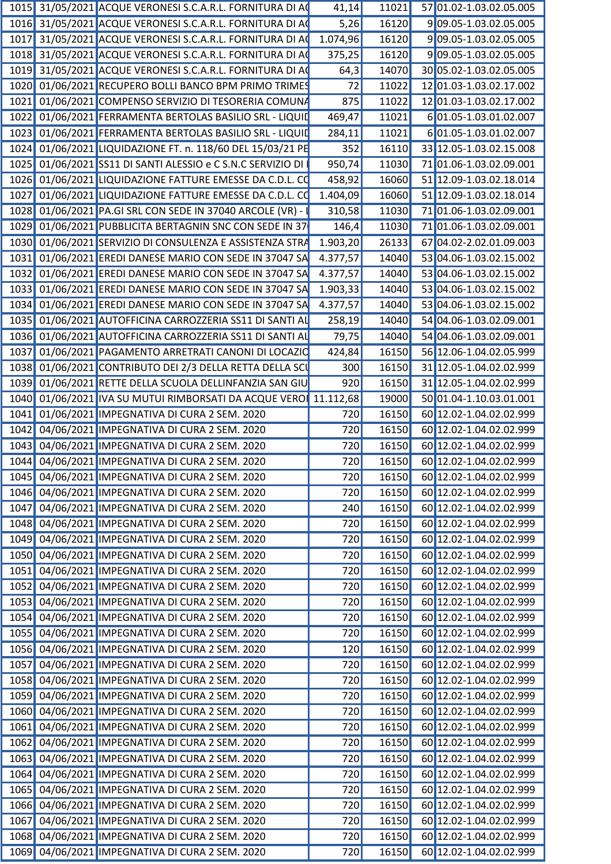|  | 1015 31/05/2021 ACQUE VERONESI S.C.A.R.L. FORNITURA DI AC       | 41,14    | 11021 | 57 01.02-1.03.02.05.005       |
|--|-----------------------------------------------------------------|----------|-------|-------------------------------|
|  | 1016 31/05/2021 ACQUE VERONESI S.C.A.R.L. FORNITURA DI A        | 5,26     | 16120 | 909.05-1.03.02.05.005         |
|  | 1017 31/05/2021 ACQUE VERONESI S.C.A.R.L. FORNITURA DI AC       | 1.074,96 | 16120 | 909.05-1.03.02.05.005         |
|  | 1018 31/05/2021 ACQUE VERONESI S.C.A.R.L. FORNITURA DI A        | 375,25   | 16120 | 909.05-1.03.02.05.005         |
|  | 1019 31/05/2021 ACQUE VERONESI S.C.A.R.L. FORNITURA DI A        | 64,3     | 14070 | 30 05.02-1.03.02.05.005       |
|  | 1020 01/06/2021 RECUPERO BOLLI BANCO BPM PRIMO TRIMES           | 72       | 11022 | 12 01.03-1.03.02.17.002       |
|  | 1021 01/06/2021 COMPENSO SERVIZIO DI TESORERIA COMUNA           | 875      | 11022 | 12 01.03-1.03.02.17.002       |
|  | 1022 01/06/2021 FERRAMENTA BERTOLAS BASILIO SRL - LIQUID        | 469,47   | 11021 | 6 01.05-1.03.01.02.007        |
|  | 1023 01/06/2021 FERRAMENTA BERTOLAS BASILIO SRL - LIQUIL        | 284,11   | 11021 | 6 01.05-1.03.01.02.007        |
|  | 1024 01/06/2021 LIQUIDAZIONE FT. n. 118/60 DEL 15/03/21 PE      | 352      | 16110 | 33 12.05-1.03.02.15.008       |
|  | 1025 01/06/2021 SS11 DI SANTI ALESSIO e C S.N.C SERVIZIO DI     | 950,74   | 11030 | 71 01.06-1.03.02.09.001       |
|  | 1026 01/06/2021 LIQUIDAZIONE FATTURE EMESSE DA C.D.L. CO        | 458,92   | 16060 | 51 12.09-1.03.02.18.014       |
|  | 1027 01/06/2021 LIQUIDAZIONE FATTURE EMESSE DA C.D.L. CO        | 1.404,09 | 16060 | 51 12.09-1.03.02.18.014       |
|  |                                                                 |          | 11030 | 71 01.06-1.03.02.09.001       |
|  | 1028 01/06/2021 PA.GI SRL CON SEDE IN 37040 ARCOLE (VR) -       | 310,58   |       |                               |
|  | 1029 01/06/2021 PUBBLICITA BERTAGNIN SNC CON SEDE IN 37         | 146,4    | 11030 | 71 01.06-1.03.02.09.001       |
|  | 1030 01/06/2021 SERVIZIO DI CONSULENZA E ASSISTENZA STRA        | 1.903,20 | 26133 | 67 04.02-2.02.01.09.003       |
|  | 1031 01/06/2021 EREDI DANESE MARIO CON SEDE IN 37047 SA         | 4.377,57 | 14040 | 53 04.06-1.03.02.15.002       |
|  | 1032 01/06/2021 EREDI DANESE MARIO CON SEDE IN 37047 SA         | 4.377,57 | 14040 | 53 04.06-1.03.02.15.002       |
|  | 1033 01/06/2021 EREDI DANESE MARIO CON SEDE IN 37047 SA         | 1.903,33 | 14040 | 53 04.06-1.03.02.15.002       |
|  | 1034 01/06/2021 EREDI DANESE MARIO CON SEDE IN 37047 SA         | 4.377,57 | 14040 | 53 04.06-1.03.02.15.002       |
|  | 1035 01/06/2021 AUTOFFICINA CARROZZERIA SS11 DI SANTI AL        | 258,19   | 14040 | 54 04.06-1.03.02.09.001       |
|  | 1036 01/06/2021 AUTOFFICINA CARROZZERIA SS11 DI SANTI AL        | 79,75    | 14040 | 54 04.06-1.03.02.09.001       |
|  | 1037 01/06/2021 PAGAMENTO ARRETRATI CANONI DI LOCAZIO           | 424,84   | 16150 | 56 12.06-1.04.02.05.999       |
|  | 1038 01/06/2021 CONTRIBUTO DEI 2/3 DELLA RETTA DELLA SCI        | 300      | 16150 | 31 12.05-1.04.02.02.999       |
|  | 1039 01/06/2021 RETTE DELLA SCUOLA DELLINFANZIA SAN GIU         | 920      | 16150 | 31 12.05-1.04.02.02.999       |
|  | 1040 01/06/2021 IVA SU MUTUI RIMBORSATI DA ACQUE VERO 11.112,68 |          | 19000 | 50 01.04-1.10.03.01.001       |
|  | 1041 01/06/2021 IMPEGNATIVA DI CURA 2 SEM. 2020                 | 720      | 16150 | 60 12.02-1.04.02.02.999       |
|  | 1042 04/06/2021 IMPEGNATIVA DI CURA 2 SEM. 2020                 | 720      | 16150 | 60 12.02-1.04.02.02.999       |
|  | 1043 04/06/2021 IMPEGNATIVA DI CURA 2 SEM. 2020                 | 720      | 16150 | 60 12.02-1.04.02.02.999       |
|  | 1044 04/06/2021 IMPEGNATIVA DI CURA 2 SEM. 2020                 | 720      |       | 16150 60 12.02-1.04.02.02.999 |
|  | 1045 04/06/2021 IMPEGNATIVA DI CURA 2 SEM. 2020                 | 720      | 16150 | 60 12.02-1.04.02.02.999       |
|  |                                                                 |          |       |                               |
|  | 1046 04/06/2021 IMPEGNATIVA DI CURA 2 SEM. 2020                 | 720      | 16150 | 60 12.02-1.04.02.02.999       |
|  | 1047 04/06/2021 IMPEGNATIVA DI CURA 2 SEM. 2020                 | 240      | 16150 | 60 12.02-1.04.02.02.999       |
|  | 1048 04/06/2021 IMPEGNATIVA DI CURA 2 SEM. 2020                 | 720      | 16150 | 60 12.02-1.04.02.02.999       |
|  | 1049 04/06/2021 IMPEGNATIVA DI CURA 2 SEM. 2020                 | 720      | 16150 | 60 12.02-1.04.02.02.999       |
|  | 1050 04/06/2021 IMPEGNATIVA DI CURA 2 SEM. 2020                 | 720      | 16150 | 60 12.02-1.04.02.02.999       |
|  | 1051 04/06/2021 IMPEGNATIVA DI CURA 2 SEM. 2020                 | 720      | 16150 | 60 12.02-1.04.02.02.999       |
|  | 1052 04/06/2021 IMPEGNATIVA DI CURA 2 SEM. 2020                 | 720      | 16150 | 60 12.02-1.04.02.02.999       |
|  | 1053 04/06/2021 IMPEGNATIVA DI CURA 2 SEM. 2020                 | 720      | 16150 | 60 12.02-1.04.02.02.999       |
|  | 1054 04/06/2021 IMPEGNATIVA DI CURA 2 SEM. 2020                 | 720      | 16150 | 60 12.02-1.04.02.02.999       |
|  | 1055 04/06/2021 IMPEGNATIVA DI CURA 2 SEM. 2020                 | 720      | 16150 | 60 12.02-1.04.02.02.999       |
|  | 1056 04/06/2021 IMPEGNATIVA DI CURA 2 SEM. 2020                 | 120      | 16150 | 60 12.02-1.04.02.02.999       |
|  | 1057 04/06/2021 IMPEGNATIVA DI CURA 2 SEM. 2020                 | 720      | 16150 | 60 12.02-1.04.02.02.999       |
|  | 1058 04/06/2021 IMPEGNATIVA DI CURA 2 SEM. 2020                 | 720      | 16150 | 60 12.02-1.04.02.02.999       |
|  | 1059 04/06/2021 IMPEGNATIVA DI CURA 2 SEM. 2020                 | 720      | 16150 | 60 12.02-1.04.02.02.999       |
|  | 1060 04/06/2021 IMPEGNATIVA DI CURA 2 SEM. 2020                 | 720      | 16150 | 60 12.02-1.04.02.02.999       |
|  |                                                                 |          |       |                               |
|  | 1061 04/06/2021 IMPEGNATIVA DI CURA 2 SEM. 2020                 | 720      | 16150 | 60 12.02-1.04.02.02.999       |
|  | 1062 04/06/2021 IMPEGNATIVA DI CURA 2 SEM. 2020                 | 720      | 16150 | 60 12.02-1.04.02.02.999       |
|  | 1063 04/06/2021 IMPEGNATIVA DI CURA 2 SEM. 2020                 | 720      | 16150 | 60 12.02-1.04.02.02.999       |
|  | 1064 04/06/2021 IMPEGNATIVA DI CURA 2 SEM. 2020                 | 720      | 16150 | 60 12.02-1.04.02.02.999       |
|  | 1065 04/06/2021 IMPEGNATIVA DI CURA 2 SEM. 2020                 | 720      | 16150 | 60 12.02-1.04.02.02.999       |
|  | 1066 04/06/2021 IMPEGNATIVA DI CURA 2 SEM. 2020                 | 720      | 16150 | 60 12.02-1.04.02.02.999       |
|  | 1067 04/06/2021 IMPEGNATIVA DI CURA 2 SEM. 2020                 | 720      | 16150 | 60 12.02-1.04.02.02.999       |
|  | 1068 04/06/2021 IMPEGNATIVA DI CURA 2 SEM. 2020                 | 720      | 16150 | 60 12.02-1.04.02.02.999       |
|  | 1069 04/06/2021 IMPEGNATIVA DI CURA 2 SEM. 2020                 | 720      |       | 16150 60 12.02-1.04.02.02.999 |
|  |                                                                 |          |       |                               |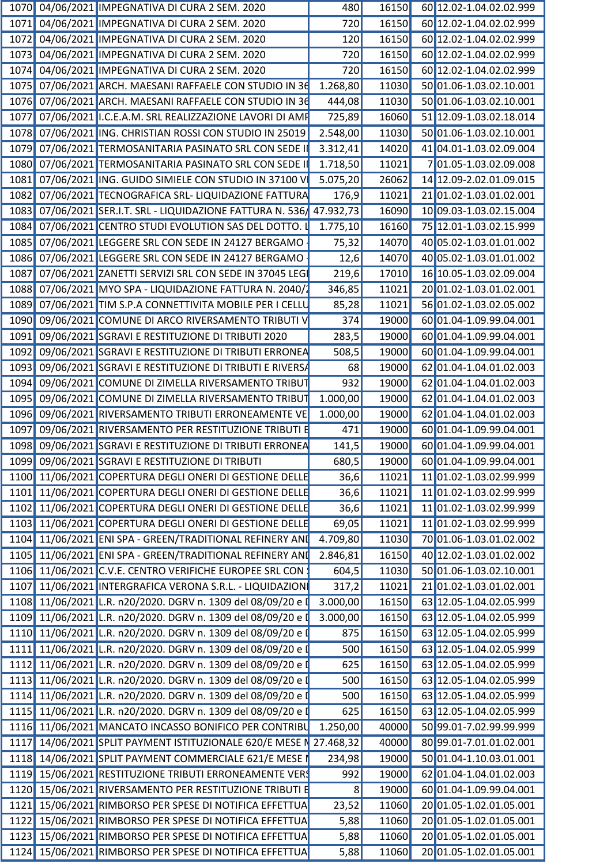|  | 1070 04/06/2021 IMPEGNATIVA DI CURA 2 SEM. 2020                      | 480      | 16150 | 60 12.02-1.04.02.02.999                |
|--|----------------------------------------------------------------------|----------|-------|----------------------------------------|
|  | 1071 04/06/2021 IMPEGNATIVA DI CURA 2 SEM. 2020                      | 720      | 16150 | 60 12.02-1.04.02.02.999                |
|  | 1072 04/06/2021 IMPEGNATIVA DI CURA 2 SEM. 2020                      | 120      | 16150 | 60 12.02-1.04.02.02.999                |
|  | 1073 04/06/2021 IMPEGNATIVA DI CURA 2 SEM. 2020                      | 720      | 16150 | 60 12.02-1.04.02.02.999                |
|  | 1074 04/06/2021 IMPEGNATIVA DI CURA 2 SEM. 2020                      | 720      | 16150 | 60 12.02-1.04.02.02.999                |
|  | 1075 07/06/2021 ARCH. MAESANI RAFFAELE CON STUDIO IN 36              | 1.268,80 | 1030  | 50 01.06-1.03.02.10.001                |
|  | 1076 07/06/2021 ARCH. MAESANI RAFFAELE CON STUDIO IN 36              | 444,08   | 11030 | 50 01.06-1.03.02.10.001                |
|  | 1077 07/06/2021 I.C.E.A.M. SRL REALIZZAZIONE LAVORI DI AMP           | 725,89   | 16060 | 51 12.09-1.03.02.18.014                |
|  | 1078 07/06/2021 ING. CHRISTIAN ROSSI CON STUDIO IN 25019             | 2.548,00 | 11030 | 50 01.06-1.03.02.10.001                |
|  | 1079 07/06/2021 TERMOSANITARIA PASINATO SRL CON SEDE                 | 3.312,41 | 14020 | 41 04.01-1.03.02.09.004                |
|  | 1080 07/06/2021 TERMOSANITARIA PASINATO SRL CON SEDE                 |          | 11021 | 701.05-1.03.02.09.008                  |
|  |                                                                      | 1.718,50 |       |                                        |
|  | 1081 07/06/2021 ING. GUIDO SIMIELE CON STUDIO IN 37100 V             | 5.075,20 | 26062 | 14 12.09-2.02.01.09.015                |
|  | 1082 07/06/2021 TECNOGRAFICA SRL- LIQUIDAZIONE FATTURA               | 176,9    | 11021 | 2101.02-1.03.01.02.001                 |
|  | 1083 07/06/2021 SER.I.T. SRL - LIQUIDAZIONE FATTURA N. 536 47.932,73 |          | 16090 | 10 09.03-1.03.02.15.004                |
|  | 1084 07/06/2021 CENTRO STUDI EVOLUTION SAS DEL DOTTO.                | 1.775,10 | 16160 | 75 12.01-1.03.02.15.999                |
|  | 1085 07/06/2021 LEGGERE SRL CON SEDE IN 24127 BERGAMO                | 75,32    | 14070 | 40 05.02-1.03.01.01.002                |
|  | 1086 07/06/2021 LEGGERE SRL CON SEDE IN 24127 BERGAMO                | 12,6     | 14070 | 40 05.02-1.03.01.01.002                |
|  | 1087 07/06/2021 ZANETTI SERVIZI SRL CON SEDE IN 37045 LEG            | 219,6    | 17010 | 16 10.05-1.03.02.09.004                |
|  | 1088 07/06/2021 MYO SPA - LIQUIDAZIONE FATTURA N. 2040/2             | 346,85   | 11021 | 20 01.02-1.03.01.02.001                |
|  | 1089 07/06/2021 TIM S.P.A CONNETTIVITA MOBILE PER I CELLU            | 85,28    | 11021 | 56 01.02-1.03.02.05.002                |
|  | 1090 09/06/2021 COMUNE DI ARCO RIVERSAMENTO TRIBUTI \                | 374      | 19000 | 60 01.04-1.09.99.04.001                |
|  | 1091 09/06/2021 SGRAVI E RESTITUZIONE DI TRIBUTI 2020                | 283,     | 19000 | 60 01.04-1.09.99.04.001                |
|  | 1092 09/06/2021 SGRAVI E RESTITUZIONE DI TRIBUTI ERRONEA             | 508,5    | 19000 | 60 01.04-1.09.99.04.001                |
|  | 1093 09/06/2021 SGRAVI E RESTITUZIONE DI TRIBUTI E RIVERSA           | 68       | 19000 | 62 01.04-1.04.01.02.003                |
|  | 1094 09/06/2021 COMUNE DI ZIMELLA RIVERSAMENTO TRIBUT                | 932      | 19000 | 62 01.04-1.04.01.02.003                |
|  | 1095 09/06/2021 COMUNE DI ZIMELLA RIVERSAMENTO TRIBUT                | 1.000,00 | 19000 | 62 01.04-1.04.01.02.003                |
|  | 1096 09/06/2021 RIVERSAMENTO TRIBUTI ERRONEAMENTE VE                 | 1.000,00 | 19000 | 62 01.04-1.04.01.02.003                |
|  | 1097 09/06/2021 RIVERSAMENTO PER RESTITUZIONE TRIBUTI                | 471      | 19000 | 60 01.04-1.09.99.04.001                |
|  |                                                                      |          |       |                                        |
|  | 1098 09/06/2021 SGRAVI E RESTITUZIONE DI TRIBUTI ERRONEA             | 141,5    | 19000 | 60 01.04-1.09.99.04.001                |
|  | 1099 09/06/2021 SGRAVI E RESTITUZIONE DI TRIBUTI                     | 680,5    |       | 19000 60 01.04-1.09.99.04.001          |
|  | 1100 11/06/2021 COPERTURA DEGLI ONERI DI GESTIONE DELLE              | 36,6     |       | 11021 11 01.02-1.03.02.99.999          |
|  | 1101 11/06/2021 COPERTURA DEGLI ONERI DI GESTIONE DELLE              | 36,6     |       | 11021 11 01.02-1.03.02.99.999          |
|  | 1102 11/06/2021 COPERTURA DEGLI ONERI DI GESTIONE DELLE              | 36,6     | 11021 | 11 01.02-1.03.02.99.999                |
|  | 1103 11/06/2021 COPERTURA DEGLI ONERI DI GESTIONE DELLE              | 69,05    | 11021 | 11 01.02-1.03.02.99.999                |
|  | 1104 11/06/2021 ENI SPA - GREEN/TRADITIONAL REFINERY AND             | 4.709,80 | 11030 | 70 01.06-1.03.01.02.002                |
|  | 1105 11/06/2021 ENI SPA - GREEN/TRADITIONAL REFINERY AND             | 2.846,81 | 16150 | 40 12.02-1.03.01.02.002                |
|  | 1106 11/06/2021 C.V.E. CENTRO VERIFICHE EUROPEE SRL CON              | 604,     | 11030 | $\frac{1}{10}$ 50 01.06-1.03.02.10.001 |
|  | 1107 11/06/2021 INTERGRAFICA VERONA S.R.L. - LIQUIDAZION             | 317,2    | 11021 | 21 01.02-1.03.01.02.001                |
|  | 1108 11/06/2021 L.R. n20/2020. DGRV n. 1309 del 08/09/20 e           | 3.000,00 | 16150 | 63 12.05-1.04.02.05.999                |
|  | 1109 11/06/2021 L.R. n20/2020. DGRV n. 1309 del 08/09/20 e I         | 3.000,00 |       | 16150 63 12.05-1.04.02.05.999          |
|  | 1110 11/06/2021 L.R. n20/2020. DGRV n. 1309 del 08/09/20 e           | 875      |       | 16150 63 12.05-1.04.02.05.999          |
|  | 1111 11/06/2021 L.R. n20/2020. DGRV n. 1309 del 08/09/20 e           | 500      | 16150 | 63 12.05-1.04.02.05.999                |
|  | 1112 11/06/2021 L.R. n20/2020. DGRV n. 1309 del 08/09/20 e           | 625      | 16150 | 63 12.05-1.04.02.05.999                |
|  |                                                                      |          |       |                                        |
|  | 1113 11/06/2021 L.R. n20/2020. DGRV n. 1309 del 08/09/20 e           | 500      | 16150 | 63 12.05-1.04.02.05.999                |
|  | 1114 11/06/2021 L.R. n20/2020. DGRV n. 1309 del 08/09/20 e I         | 500      | 16150 | 63 12.05-1.04.02.05.999                |
|  | 1115 11/06/2021 L.R. n20/2020. DGRV n. 1309 del 08/09/20 e           | 625      | 16150 | 63 12.05-1.04.02.05.999                |
|  | 1116 11/06/2021 MANCATO INCASSO BONIFICO PER CONTRIBU                | 1.250,00 | 40000 | 50 99.01-7.02.99.99.999                |
|  | 1117 14/06/2021 SPLIT PAYMENT ISTITUZIONALE 620/E MESE N 27.468,32   |          | 40000 | 80 99.01-7.01.01.02.001                |
|  | 1118 14/06/2021 SPLIT PAYMENT COMMERCIALE 621/E MESE I               | 234,98   | 19000 | 50 01.04-1.10.03.01.001                |
|  | 1119 15/06/2021 RESTITUZIONE TRIBUTI ERRONEAMENTE VER                | 992      | 19000 | 62 01.04-1.04.01.02.003                |
|  | 1120 15/06/2021 RIVERSAMENTO PER RESTITUZIONE TRIBUTI E              |          | 19000 | 60 01.04-1.09.99.04.001                |
|  | 1121 15/06/2021 RIMBORSO PER SPESE DI NOTIFICA EFFETTUA              | 23,52    | 11060 | 20 01.05-1.02.01.05.001                |
|  | 1122 15/06/2021 RIMBORSO PER SPESE DI NOTIFICA EFFETTUA              | 5,88     | 11060 | 20 01.05-1.02.01.05.001                |
|  | 1123 15/06/2021 RIMBORSO PER SPESE DI NOTIFICA EFFETTUA              | 5,88     | 11060 | $20 01.05 - 1.02.01.05.001$            |
|  | 1124 15/06/2021 RIMBORSO PER SPESE DI NOTIFICA EFFETTUA              |          |       |                                        |
|  |                                                                      | 5,88     |       | 11060 20 01.05-1.02.01.05.001          |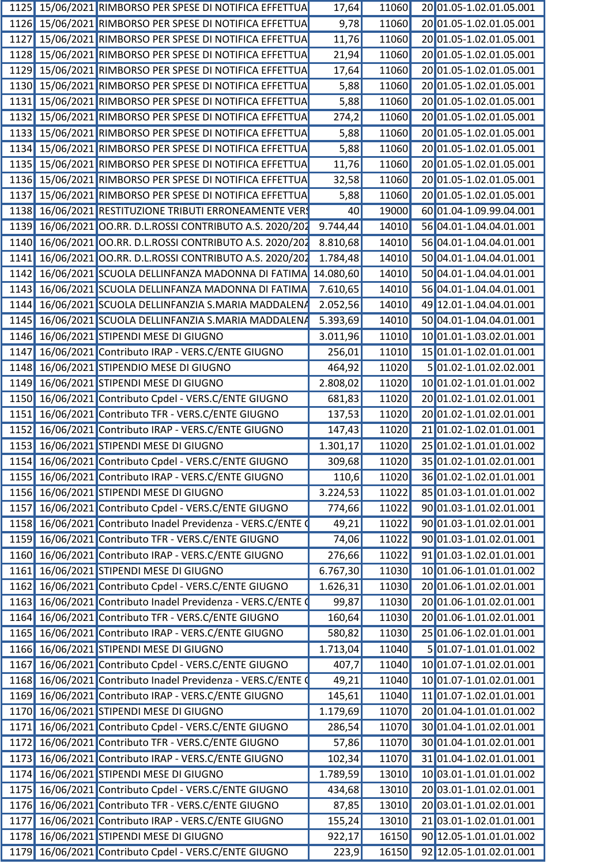|      |            | 1125 15/06/2021 RIMBORSO PER SPESE DI NOTIFICA EFFETTUA | 17,64     | 11060 | 20 01.05-1.02.01.05.001 |
|------|------------|---------------------------------------------------------|-----------|-------|-------------------------|
|      |            | 1126 15/06/2021 RIMBORSO PER SPESE DI NOTIFICA EFFETTUA | 9,78      | 11060 | 20 01.05-1.02.01.05.001 |
| 1127 |            | 15/06/2021 RIMBORSO PER SPESE DI NOTIFICA EFFETTUA      | 11,76     | 11060 | 20 01.05-1.02.01.05.001 |
| 1128 |            | 15/06/2021 RIMBORSO PER SPESE DI NOTIFICA EFFETTUA      | 21,94     | 11060 | 20 01.05-1.02.01.05.001 |
| 1129 |            | 15/06/2021 RIMBORSO PER SPESE DI NOTIFICA EFFETTUA      | 17,64     | 11060 | 20 01.05-1.02.01.05.001 |
| 1130 |            | 15/06/2021 RIMBORSO PER SPESE DI NOTIFICA EFFETTUA      | 5,88      | 11060 | 20 01.05-1.02.01.05.001 |
| 1131 |            | 15/06/2021 RIMBORSO PER SPESE DI NOTIFICA EFFETTUA      | 5,88      | 11060 | 20 01.05-1.02.01.05.001 |
| 1132 |            | 15/06/2021 RIMBORSO PER SPESE DI NOTIFICA EFFETTUA      | 274,2     | 11060 | 20 01.05-1.02.01.05.001 |
| 1133 |            | 15/06/2021 RIMBORSO PER SPESE DI NOTIFICA EFFETTUA      | 5,88      | 11060 | 20 01.05-1.02.01.05.001 |
| 1134 |            | 15/06/2021 RIMBORSO PER SPESE DI NOTIFICA EFFETTUA      | 5,88      | 11060 | 20 01.05-1.02.01.05.001 |
| 1135 |            | 15/06/2021 RIMBORSO PER SPESE DI NOTIFICA EFFETTUA      | 11,76     | 11060 | 20 01.05-1.02.01.05.001 |
|      |            | 1136 15/06/2021 RIMBORSO PER SPESE DI NOTIFICA EFFETTUA | 32,58     | 11060 | 20 01.05-1.02.01.05.001 |
| 1137 |            | 15/06/2021 RIMBORSO PER SPESE DI NOTIFICA EFFETTUA      | 5,88      | 11060 | 20 01.05-1.02.01.05.001 |
|      |            | 1138 16/06/2021 RESTITUZIONE TRIBUTI ERRONEAMENTE VER   | 40        | 19000 | 60 01.04-1.09.99.04.001 |
| 1139 |            | 16/06/2021 OO.RR. D.L.ROSSI CONTRIBUTO A.S. 2020/202    | 9.744,44  | 14010 | 56 04.01-1.04.04.01.001 |
| 1140 |            | 16/06/2021 OO.RR. D.L.ROSSI CONTRIBUTO A.S. 2020/202    | 8.810,68  | 14010 | 56 04.01-1.04.04.01.001 |
| 1141 | 16/06/2021 | OO.RR. D.L.ROSSI CONTRIBUTO A.S. 2020/202               | 1.784,48  | 14010 | 50 04.01-1.04.04.01.001 |
| 1142 |            | 16/06/2021 SCUOLA DELLINFANZA MADONNA DI FATIMA         | 14.080,60 | 14010 | 50 04.01-1.04.04.01.001 |
| 1143 |            | 16/06/2021 SCUOLA DELLINFANZA MADONNA DI FATIMA         | 7.610,65  | 14010 | 56 04.01-1.04.04.01.001 |
| 1144 |            | 16/06/2021 SCUOLA DELLINFANZIA S.MARIA MADDALENA        | 2.052,56  | 14010 | 49 12.01-1.04.04.01.001 |
| 1145 |            | 16/06/2021 SCUOLA DELLINFANZIA S.MARIA MADDALENA        | 5.393,69  | 14010 | 50 04.01-1.04.04.01.001 |
| 1146 |            | 16/06/2021 STIPENDI MESE DI GIUGNO                      | 3.011,96  | 11010 | 10 01.01-1.03.02.01.001 |
| 1147 |            | 16/06/2021 Contributo IRAP - VERS.C/ENTE GIUGNO         | 256,01    | 11010 | 15 01.01-1.02.01.01.001 |
| 1148 |            | 16/06/2021 STIPENDIO MESE DI GIUGNO                     | 464,92    | 11020 | 5 01.02-1.01.02.02.001  |
| 1149 |            | 16/06/2021 STIPENDI MESE DI GIUGNO                      | 2.808,02  | 11020 | 10 01.02-1.01.01.01.002 |
| 1150 |            | 16/06/2021 Contributo Cpdel - VERS.C/ENTE GIUGNO        | 681,83    | 11020 | 20 01.02-1.01.02.01.001 |
| 1151 |            | 16/06/2021 Contributo TFR - VERS.C/ENTE GIUGNO          | 137,53    | 11020 | 20 01.02-1.01.02.01.001 |
| 1152 |            | 16/06/2021 Contributo IRAP - VERS.C/ENTE GIUGNO         | 147,43    | 11020 | 21 01.02-1.02.01.01.001 |
| 1153 |            | 16/06/2021 STIPENDI MESE DI GIUGNO                      | 1.301,17  | 11020 | 25 01.02-1.01.01.01.002 |
|      |            | 1154 16/06/2021 Contributo Cpdel - VERS.C/ENTE GIUGNO   | 309,68    | 11020 | 35 01.02-1.01.02.01.001 |
|      |            | 1155 16/06/2021 Contributo IRAP - VERS.C/ENTE GIUGNO    | 110,6     | 11020 | 36 01.02-1.02.01.01.001 |
| 1156 |            | 16/06/2021 STIPENDI MESE DI GIUGNO                      | 3.224,53  | 11022 | 85 01.03-1.01.01.01.002 |
| 1157 |            | 16/06/2021 Contributo Cpdel - VERS.C/ENTE GIUGNO        | 774,66    | 11022 | 90 01.03-1.01.02.01.001 |
| 1158 | 16/06/2021 | Contributo Inadel Previdenza - VERS.C/ENTE (            | 49,21     | 11022 | 90 01.03-1.01.02.01.001 |
| 1159 | 16/06/2021 | Contributo TFR - VERS.C/ENTE GIUGNO                     | 74,06     | 11022 | 90 01.03-1.01.02.01.001 |
| 1160 | 16/06/2021 | Contributo IRAP - VERS.C/ENTE GIUGNO                    | 276,66    | 11022 | 91 01.03-1.02.01.01.001 |
| 1161 |            | 16/06/2021 STIPENDI MESE DI GIUGNO                      | 6.767,30  | 11030 | 10 01.06-1.01.01.01.002 |
|      |            | 1162 16/06/2021 Contributo Cpdel - VERS.C/ENTE GIUGNO   | 1.626, 31 | 11030 | 2001.06-1.01.02.01.001  |
| 1163 | 16/06/2021 | Contributo Inadel Previdenza - VERS.C/ENTE 0            | 99,87     | 11030 | 20 01.06-1.01.02.01.001 |
| 1164 |            | 16/06/2021 Contributo TFR - VERS.C/ENTE GIUGNO          | 160,64    | 11030 | 20 01.06-1.01.02.01.001 |
| 1165 | 16/06/2021 | Contributo IRAP - VERS.C/ENTE GIUGNO                    | 580,82    | 11030 | 25 01.06-1.02.01.01.001 |
| 1166 |            | 16/06/2021 STIPENDI MESE DI GIUGNO                      | 1.713,04  | 11040 | 5 01.07-1.01.01.01.002  |
| 1167 | 16/06/2021 | Contributo Cpdel - VERS.C/ENTE GIUGNO                   | 407,7     | 11040 | 10 01.07-1.01.02.01.001 |
| 1168 | 16/06/2021 | Contributo Inadel Previdenza - VERS.C/ENTE Q            | 49,21     | 11040 | 10 01.07-1.01.02.01.001 |
| 1169 | 16/06/2021 | Contributo IRAP - VERS.C/ENTE GIUGNO                    | 145,61    | 11040 | 11 01.07-1.02.01.01.001 |
| 1170 |            | 16/06/2021 STIPENDI MESE DI GIUGNO                      | 1.179,69  | 11070 | 20 01.04-1.01.01.01.002 |
| 1171 |            | 16/06/2021 Contributo Cpdel - VERS.C/ENTE GIUGNO        | 286,54    | 11070 | 30 01.04-1.01.02.01.001 |
| 1172 | 16/06/2021 | Contributo TFR - VERS.C/ENTE GIUGNO                     | 57,86     | 11070 | 30 01.04-1.01.02.01.001 |
| 1173 |            | 16/06/2021 Contributo IRAP - VERS.C/ENTE GIUGNO         | 102,34    | 11070 | 31 01.04-1.02.01.01.001 |
| 1174 |            | 16/06/2021 STIPENDI MESE DI GIUGNO                      | 1.789,59  | 13010 | 10 03.01-1.01.01.01.002 |
| 1175 |            | 16/06/2021 Contributo Cpdel - VERS.C/ENTE GIUGNO        | 434,68    | 13010 | 20 03.01-1.01.02.01.001 |
| 1176 | 16/06/2021 | Contributo TFR - VERS.C/ENTE GIUGNO                     | 87,85     | 13010 | 20 03.01-1.01.02.01.001 |
| 1177 | 16/06/2021 | Contributo IRAP - VERS.C/ENTE GIUGNO                    | 155,24    | 13010 | 2103.01-1.02.01.01.001  |
| 1178 |            | 16/06/2021 STIPENDI MESE DI GIUGNO                      | 922,17    | 16150 | 90 12.05-1.01.01.01.002 |
| 1179 |            | 16/06/2021 Contributo Cpdel - VERS.C/ENTE GIUGNO        | 223,9     | 16150 | 92 12.05-1.01.02.01.001 |
|      |            |                                                         |           |       |                         |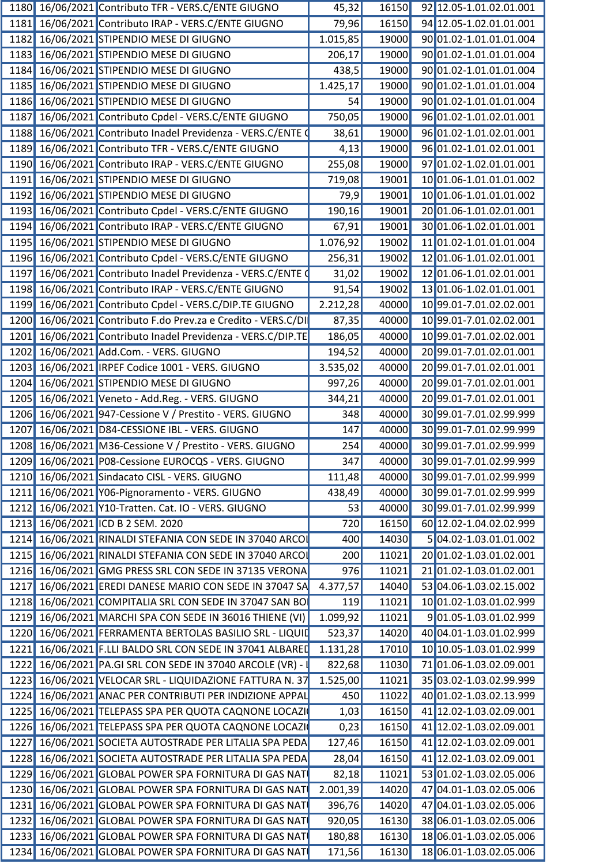|  | 1180 16/06/2021 Contributo TFR - VERS.C/ENTE GIUGNO           | 45,32    |       | 16150 92 12.05-1.01.02.01.001 |
|--|---------------------------------------------------------------|----------|-------|-------------------------------|
|  | 1181 16/06/2021 Contributo IRAP - VERS.C/ENTE GIUGNO          | 79,96    | 16150 | 94 12.05-1.02.01.01.001       |
|  | 1182 16/06/2021 STIPENDIO MESE DI GIUGNO                      | 1.015,85 |       | 19000 90 01.02-1.01.01.01.004 |
|  | 1183 16/06/2021 STIPENDIO MESE DI GIUGNO                      | 206,17   | 19000 | 90 01.02-1.01.01.01.004       |
|  | 1184 16/06/2021 STIPENDIO MESE DI GIUGNO                      | 438,5    | 19000 | 90 01.02-1.01.01.01.004       |
|  | 1185 16/06/2021 STIPENDIO MESE DI GIUGNO                      | 1.425,17 | 19000 | 90 01.02-1.01.01.01.004       |
|  | 1186 16/06/2021 STIPENDIO MESE DI GIUGNO                      | 54       | 19000 | 90 01.02-1.01.01.01.004       |
|  | 1187 16/06/2021 Contributo Cpdel - VERS.C/ENTE GIUGNO         | 750,05   | 19000 | 96 01.02-1.01.02.01.001       |
|  | 1188 16/06/2021 Contributo Inadel Previdenza - VERS.C/ENTE    | 38,61    | 19000 | 96 01.02-1.01.02.01.001       |
|  | 1189 16/06/2021 Contributo TFR - VERS.C/ENTE GIUGNO           | 4,13     | 19000 | 96 01.02-1.01.02.01.001       |
|  | 1190 16/06/2021 Contributo IRAP - VERS.C/ENTE GIUGNO          | 255,08   | 19000 | 97 01.02-1.02.01.01.001       |
|  | 1191 16/06/2021 STIPENDIO MESE DI GIUGNO                      | 719,08   | 19001 | 10 01.06-1.01.01.01.002       |
|  | 1192 16/06/2021 STIPENDIO MESE DI GIUGNO                      | 79,9     | 19001 | 10 01.06-1.01.01.01.002       |
|  | 1193 16/06/2021 Contributo Cpdel - VERS.C/ENTE GIUGNO         | 190, 16  | 19001 | 20 01.06-1.01.02.01.001       |
|  |                                                               |          |       |                               |
|  | 1194 16/06/2021 Contributo IRAP - VERS.C/ENTE GIUGNO          | 67,91    | 19001 | 30 01.06-1.02.01.01.001       |
|  | 1195 16/06/2021 STIPENDIO MESE DI GIUGNO                      | 1.076,92 | 19002 | 11 01.02-1.01.01.01.004       |
|  | 1196 16/06/2021 Contributo Cpdel - VERS.C/ENTE GIUGNO         | 256,31   | 19002 | 12 01.06-1.01.02.01.001       |
|  | 1197 16/06/2021 Contributo Inadel Previdenza - VERS.C/ENTE    | 31,02    | 19002 | 12 01.06-1.01.02.01.001       |
|  | 1198 16/06/2021 Contributo IRAP - VERS.C/ENTE GIUGNO          | 91,54    | 19002 | 13 01.06-1.02.01.01.001       |
|  | 1199 16/06/2021 Contributo Cpdel - VERS.C/DIP.TE GIUGNO       | 2.212,28 | 40000 | 10 99.01-7.01.02.02.001       |
|  | 1200 16/06/2021 Contributo F.do Prev.za e Credito - VERS.C/DI | 87,35    | 40000 | 10 99.01-7.01.02.02.001       |
|  | 1201 16/06/2021 Contributo Inadel Previdenza - VERS.C/DIP.TE  | 186,05   | 40000 | 10 99.01-7.01.02.02.001       |
|  | 1202 16/06/2021 Add.Com. - VERS. GIUGNO                       | 194,52   | 40000 | 20 99.01-7.01.02.01.001       |
|  | 1203 16/06/2021 IRPEF Codice 1001 - VERS. GIUGNO              | 3.535,02 | 40000 | 20 99.01-7.01.02.01.001       |
|  | 1204 16/06/2021 STIPENDIO MESE DI GIUGNO                      | 997,26   | 40000 | 20 99.01-7.01.02.01.001       |
|  | 1205 16/06/2021 Veneto - Add.Reg. - VERS. GIUGNO              | 344,21   | 40000 | 20 99.01-7.01.02.01.001       |
|  | 1206 16/06/2021 947-Cessione V / Prestito - VERS. GIUGNO      | 348      | 40000 | 30 99.01-7.01.02.99.999       |
|  | 1207 16/06/2021 D84-CESSIONE IBL - VERS. GIUGNO               | 147      | 40000 | 3099.01-7.01.02.99.999        |
|  | 1208 16/06/2021 M36-Cessione V / Prestito - VERS. GIUGNO      | 254      | 40000 | 3099.01-7.01.02.99.999        |
|  |                                                               |          |       |                               |
|  | 1209 16/06/2021 P08-Cessione EUROCQS - VERS. GIUGNO           | 347      |       | 40000 30 99.01-7.01.02.99.999 |
|  | 1210 16/06/2021 Sindacato CISL - VERS. GIUGNO                 | 111,48   | 40000 | 3099.01-7.01.02.99.999        |
|  | 1211 16/06/2021 Y06-Pignoramento - VERS. GIUGNO               | 438,49   | 40000 | 3099.01-7.01.02.99.999        |
|  | 1212 16/06/2021 Y10-Tratten. Cat. IO - VERS. GIUGNO           | 53       | 40000 | 3099.01-7.01.02.99.999        |
|  | 1213 16/06/2021 ICD B 2 SEM. 2020                             | 720      | 16150 | 60 12.02-1.04.02.02.999       |
|  | 1214 16/06/2021 RINALDI STEFANIA CON SEDE IN 37040 ARCO       | 400      | 14030 | 5 04.02-1.03.01.01.002        |
|  | 1215 16/06/2021 RINALDI STEFANIA CON SEDE IN 37040 ARCO       | 200      | 11021 | 20 01.02-1.03.01.02.001       |
|  | 1216 16/06/2021 GMG PRESS SRL CON SEDE IN 37135 VERONA        | 976      | 11021 | 21 01.02-1.03.01.02.001       |
|  | 1217 16/06/2021 EREDI DANESE MARIO CON SEDE IN 37047 SA       | 4.377,57 | 14040 | 53 04.06-1.03.02.15.002       |
|  | 1218 16/06/2021 COMPITALIA SRL CON SEDE IN 37047 SAN BO       | 119      | 11021 | 10 01.02-1.03.01.02.999       |
|  | 1219 16/06/2021 MARCHI SPA CON SEDE IN 36016 THIENE (VI)      | 1.099,92 | 11021 | 901.05-1.03.01.02.999         |
|  | 1220 16/06/2021 FERRAMENTA BERTOLAS BASILIO SRL - LIQUID      | 523,37   | 14020 | 40 04.01-1.03.01.02.999       |
|  | 1221 16/06/2021 F.LLI BALDO SRL CON SEDE IN 37041 ALBARED     | 1.131,28 | 17010 | 10 10.05-1.03.01.02.999       |
|  |                                                               | 822,68   | 11030 | 7101.06-1.03.02.09.001        |
|  | 1222 16/06/2021 PA.GI SRL CON SEDE IN 37040 ARCOLE (VR) -     |          |       |                               |
|  | 1223 16/06/2021 VELOCAR SRL - LIQUIDAZIONE FATTURA N. 37      | 1.525,00 | 11021 | 35 03.02-1.03.02.99.999       |
|  | 1224 16/06/2021 ANAC PER CONTRIBUTI PER INDIZIONE APPAL       | 450      | 11022 | 40 01.02-1.03.02.13.999       |
|  | 1225 16/06/2021 TELEPASS SPA PER QUOTA CAQNONE LOCAZI         | 1,03     | 16150 | 41 12.02-1.03.02.09.001       |
|  | 1226 16/06/2021 TELEPASS SPA PER QUOTA CAQNONE LOCAZI         | 0,23     | 16150 | 41 12.02-1.03.02.09.001       |
|  | 1227 16/06/2021 SOCIETA AUTOSTRADE PER LITALIA SPA PEDA       | 127,46   | 16150 | 41 12.02-1.03.02.09.001       |
|  | 1228 16/06/2021 SOCIETA AUTOSTRADE PER LITALIA SPA PEDA       | 28,04    |       | 16150 41 12.02-1.03.02.09.001 |
|  | 1229 16/06/2021 GLOBAL POWER SPA FORNITURA DI GAS NAT         | 82,18    | 11021 | 53 01.02-1.03.02.05.006       |
|  | 1230 16/06/2021 GLOBAL POWER SPA FORNITURA DI GAS NAT         | 2.001,39 | 14020 | 47 04.01-1.03.02.05.006       |
|  | 1231 16/06/2021 GLOBAL POWER SPA FORNITURA DI GAS NAT         | 396,76   | 14020 | 47 04.01-1.03.02.05.006       |
|  | 1232 16/06/2021 GLOBAL POWER SPA FORNITURA DI GAS NAT         | 920,05   | 16130 | 38 06.01-1.03.02.05.006       |
|  | 1233 16/06/2021 GLOBAL POWER SPA FORNITURA DI GAS NAT         | 180,88   | 16130 | 18 06.01-1.03.02.05.006       |
|  |                                                               |          |       |                               |
|  | 1234 16/06/2021 GLOBAL POWER SPA FORNITURA DI GAS NAT         | 171,56   | 16130 | 18 06.01-1.03.02.05.006       |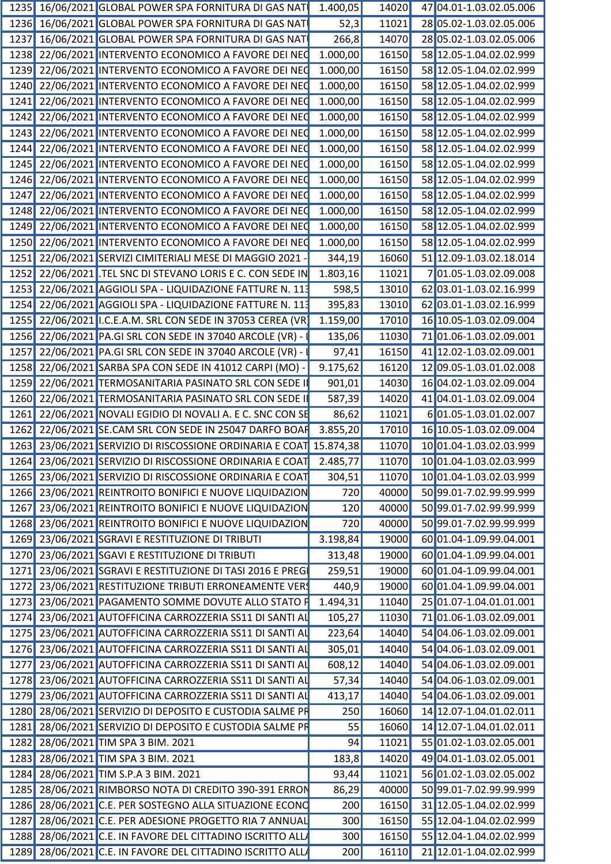|  | 1235 16/06/2021 GLOBAL POWER SPA FORNITURA DI GAS NAT              | 1.400,05         | 14020 | 47 04.01-1.03.02.05.006       |
|--|--------------------------------------------------------------------|------------------|-------|-------------------------------|
|  | 1236 16/06/2021 GLOBAL POWER SPA FORNITURA DI GAS NAT              | 52,3             | 11021 | 28 05.02-1.03.02.05.006       |
|  | 1237 16/06/2021 GLOBAL POWER SPA FORNITURA DI GAS NAT              | 266,8            | 14070 | 28 05.02-1.03.02.05.006       |
|  | 1238 22/06/2021 INTERVENTO ECONOMICO A FAVORE DEI NEC              | 1.000,00         | 16150 | 58 12.05-1.04.02.02.999       |
|  | 1239 22/06/2021 INTERVENTO ECONOMICO A FAVORE DEI NEC              | 1.000,00         | 16150 | 58 12.05-1.04.02.02.999       |
|  | 1240 22/06/2021 INTERVENTO ECONOMICO A FAVORE DEI NEC              | 1.000,00         | 16150 | 58 12.05-1.04.02.02.999       |
|  | 1241 22/06/2021 INTERVENTO ECONOMICO A FAVORE DEI NEC              | 1.000,00         | 16150 | 58 12.05-1.04.02.02.999       |
|  | 1242 22/06/2021 INTERVENTO ECONOMICO A FAVORE DEI NEC              | 1.000,00         | 16150 | 58 12.05-1.04.02.02.999       |
|  | 1243 22/06/2021 INTERVENTO ECONOMICO A FAVORE DEI NEC              | 1.000,00         | 16150 | 58 12.05-1.04.02.02.999       |
|  | 1244 22/06/2021 INTERVENTO ECONOMICO A FAVORE DEI NEC              | 1.000,00         | 16150 | 58 12.05-1.04.02.02.999       |
|  | 1245 22/06/2021 INTERVENTO ECONOMICO A FAVORE DEI NEC              | 1.000,00         | 16150 | 58 12.05-1.04.02.02.999       |
|  |                                                                    |                  |       |                               |
|  | 1246 22/06/2021 INTERVENTO ECONOMICO A FAVORE DEI NEC              | 1.000,00         | 16150 | 58 12.05-1.04.02.02.999       |
|  | 1247 22/06/2021 INTERVENTO ECONOMICO A FAVORE DEI NEC              | 1.000,00         | 16150 | 58 12.05-1.04.02.02.999       |
|  | 1248 22/06/2021 INTERVENTO ECONOMICO A FAVORE DEI NEC 1.000,00     |                  | 16150 | 58 12.05-1.04.02.02.999       |
|  | 1249 22/06/2021 INTERVENTO ECONOMICO A FAVORE DEI NEC              | 1.000,00         | 16150 | 58 12.05-1.04.02.02.999       |
|  | 1250 22/06/2021 INTERVENTO ECONOMICO A FAVORE DEI NEC 1.000,00     |                  | 16150 | 58 12.05-1.04.02.02.999       |
|  | 1251 22/06/2021 SERVIZI CIMITERIALI MESE DI MAGGIO 2021            | 344,19           | 16060 | 51 12.09-1.03.02.18.014       |
|  | 1252 22/06/2021 TEL SNC DI STEVANO LORIS E C. CON SEDE IN          | 1.803,16         | 11021 | 701.05-1.03.02.09.008         |
|  | 1253 22/06/2021 AGGIOLI SPA - LIQUIDAZIONE FATTURE N. 113          | 598,5            | 13010 | 62 03.01-1.03.02.16.999       |
|  | 1254 22/06/2021 AGGIOLI SPA - LIQUIDAZIONE FATTURE N. 113          | 395,83           | 13010 | 62 03.01-1.03.02.16.999       |
|  | 1255 22/06/2021 I.C.E.A.M. SRL CON SEDE IN 37053 CEREA (VR         | 1.159,00         | 17010 | 16 10.05-1.03.02.09.004       |
|  | 1256 22/06/2021 PA.GI SRL CON SEDE IN 37040 ARCOLE (VR)            | 135,06           | 11030 | 71 01.06-1.03.02.09.001       |
|  | 1257 22/06/2021 PA.GI SRL CON SEDE IN 37040 ARCOLE (VR)            | 97,41            | 16150 | 41 12.02-1.03.02.09.001       |
|  | 1258 22/06/2021 SARBA SPA CON SEDE IN 41012 CARPI (MO)             | 9.175,62         | 16120 | 12 09.05-1.03.01.02.008       |
|  | 1259 22/06/2021 TERMOSANITARIA PASINATO SRL CON SEDE I             | 901,01           | 14030 | 16 04.02-1.03.02.09.004       |
|  | 1260 22/06/2021 TERMOSANITARIA PASINATO SRL CON SEDE               | 587,39           | 14020 | 41 04.01-1.03.02.09.004       |
|  | 1261 22/06/2021 NOVALI EGIDIO DI NOVALI A. E C. SNC CON SE         | 86,62            | 11021 | 601.05-1.03.01.02.007         |
|  | 1262 22/06/2021 SE.CAM SRL CON SEDE IN 25047 DARFO BOAF            | 3.855,20         | 17010 | 16 10.05-1.03.02.09.004       |
|  | 1263 23/06/2021 SERVIZIO DI RISCOSSIONE ORDINARIA E COAT 15.874,38 |                  | 11070 | 10 01.04-1.03.02.03.999       |
|  | 1264 23/06/2021 SERVIZIO DI RISCOSSIONE ORDINARIA E COAT 2.485,77  |                  |       | 11070 10 01.04-1.03.02.03.999 |
|  | 1265 23/06/2021 SERVIZIO DI RISCOSSIONE ORDINARIA E COAT           |                  | 11070 | 10 01.04-1.03.02.03.999       |
|  |                                                                    | 304,51           |       |                               |
|  | 1266 23/06/2021 REINTROITO BONIFICI E NUOVE LIQUIDAZION            | 720              | 40000 | 50 99.01-7.02.99.99.999       |
|  | 1267 23/06/2021 REINTROITO BONIFICI E NUOVE LIQUIDAZION            | 120              | 40000 | 50 99.01-7.02.99.99.999       |
|  | 1268 23/06/2021 REINTROITO BONIFICI E NUOVE LIQUIDAZION            | $\overline{720}$ | 40000 | 50 99.01-7.02.99.99.999       |
|  | 1269 23/06/2021 SGRAVI E RESTITUZIONE DI TRIBUTI                   | 3.198,84         | 19000 | 60 01.04-1.09.99.04.001       |
|  | 1270 23/06/2021 SGAVI E RESTITUZIONE DI TRIBUTI                    | 313,48           | 19000 | 60 01.04-1.09.99.04.001       |
|  | 1271 23/06/2021 SGRAVI E RESTITUZIONE DI TASI 2016 E PREG          | 259,51           | 19000 | 60 01.04-1.09.99.04.001       |
|  | 1272 23/06/2021 RESTITUZIONE TRIBUTI ERRONEAMENTE VER              | 440,9            | 19000 | 60 01.04-1.09.99.04.001       |
|  | 1273 23/06/2021 PAGAMENTO SOMME DOVUTE ALLO STATO F                | 1.494,31         | 11040 | 25 01.07-1.04.01.01.001       |
|  | 1274 23/06/2021 AUTOFFICINA CARROZZERIA SS11 DI SANTI AL           | 105,27           | 11030 | 71 01.06-1.03.02.09.001       |
|  | 1275 23/06/2021 AUTOFFICINA CARROZZERIA SS11 DI SANTI AL           | 223,64           | 14040 | 54 04.06-1.03.02.09.001       |
|  | 1276 23/06/2021 AUTOFFICINA CARROZZERIA SS11 DI SANTI AL           | 305,01           | 14040 | 54 04.06-1.03.02.09.001       |
|  | 1277 23/06/2021 AUTOFFICINA CARROZZERIA SS11 DI SANTI AL           | 608,12           | 14040 | 54 04.06-1.03.02.09.001       |
|  | 1278 23/06/2021 AUTOFFICINA CARROZZERIA SS11 DI SANTI AL           | 57,34            | 14040 | 54 04.06-1.03.02.09.001       |
|  | 1279 23/06/2021 AUTOFFICINA CARROZZERIA SS11 DI SANTI AL           | 413,17           | 14040 | 54 04.06-1.03.02.09.001       |
|  | 1280 28/06/2021 SERVIZIO DI DEPOSITO E CUSTODIA SALME PF           | 250              | 16060 | 14 12.07-1.04.01.02.011       |
|  | 1281 28/06/2021 SERVIZIO DI DEPOSITO E CUSTODIA SALME PR           | 55               | 16060 | 14 12.07-1.04.01.02.011       |
|  | 1282 28/06/2021 TIM SPA 3 BIM. 2021                                | 94               | 11021 | 55 01.02-1.03.02.05.001       |
|  | 1283 28/06/2021 TIM SPA 3 BIM. 2021                                | 183,8            | 14020 | 49 04.01-1.03.02.05.001       |
|  |                                                                    |                  |       |                               |
|  | 1284 28/06/2021 TIM S.P.A 3 BIM. 2021                              | 93,44            | 11021 | 56 01.02-1.03.02.05.002       |
|  | 1285 28/06/2021 RIMBORSO NOTA DI CREDITO 390-391 ERRON             | 86,29            | 40000 | 50 99.01-7.02.99.99.999       |
|  | 1286 28/06/2021 C.E. PER SOSTEGNO ALLA SITUAZIONE ECONO            | 200              |       | 16150 31 12.05-1.04.02.02.999 |
|  | 1287 28/06/2021 C.E. PER ADESIONE PROGETTO RIA 7 ANNUAL            | 300              | 16150 | 55 12.04-1.04.02.02.999       |
|  | 1288 28/06/2021 C.E. IN FAVORE DEL CITTADINO ISCRITTO ALL          | 300              |       | 16150 55 12.04-1.04.02.02.999 |
|  | 1289 28/06/2021 C.E. IN FAVORE DEL CITTADINO ISCRITTO ALL          | 200              |       | 16110 21 12.01-1.04.02.02.999 |